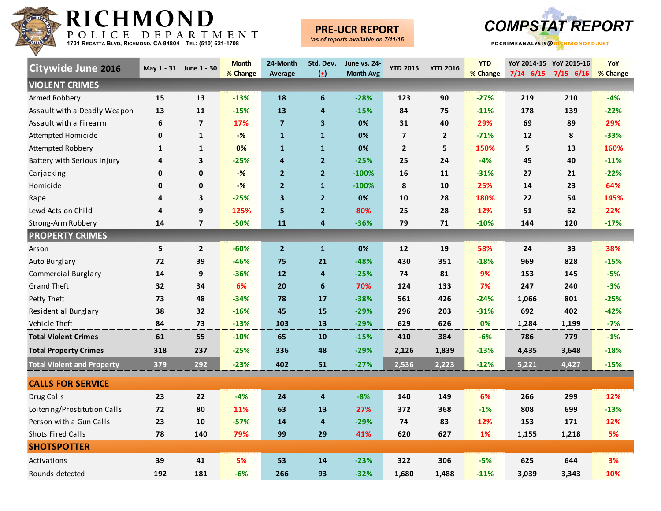

### **PRE-UCR REPORT**



| <b>Citywide June 2016</b>         |              | May 1 - 31 June 1 - 30  | <b>Month</b><br>% Change | 24-Month<br>Average     | Std. Dev.<br>$\left( \pm \right)$ | <b>June vs. 24-</b><br><b>Month Avg</b> | <b>YTD 2015</b>         | <b>YTD 2016</b> | <b>YTD</b><br>% Change | $7/14 - 6/15$ | YoY 2014-15 YoY 2015-16<br>$7/15 - 6/16$ | YoY<br>% Change |
|-----------------------------------|--------------|-------------------------|--------------------------|-------------------------|-----------------------------------|-----------------------------------------|-------------------------|-----------------|------------------------|---------------|------------------------------------------|-----------------|
| <b>VIOLENT CRIMES</b>             |              |                         |                          |                         |                                   |                                         |                         |                 |                        |               |                                          |                 |
| Armed Robbery                     | 15           | 13                      | $-13%$                   | 18                      | 6                                 | $-28%$                                  | 123                     | 90              | $-27%$                 | 219           | 210                                      | $-4%$           |
| Assault with a Deadly Weapon      | 13           | 11                      | $-15%$                   | 13                      | $\overline{4}$                    | $-15%$                                  | 84                      | 75              | $-11%$                 | 178           | 139                                      | $-22%$          |
| Assault with a Firearm            | 6            | $\overline{\mathbf{z}}$ | 17%                      | $\overline{\mathbf{z}}$ | $\overline{\mathbf{3}}$           | 0%                                      | 31                      | 40              | 29%                    | 69            | 89                                       | 29%             |
| Attempted Homicide                | 0            | $\mathbf{1}$            | $-%$                     | $\mathbf{1}$            | $\mathbf{1}$                      | 0%                                      | $\overline{\mathbf{z}}$ | $\mathbf{2}$    | $-71%$                 | 12            | 8                                        | $-33%$          |
| Attempted Robbery                 | $\mathbf{1}$ | $\mathbf{1}$            | 0%                       | $\mathbf{1}$            | $\mathbf{1}$                      | 0%                                      | $\mathbf{2}$            | 5               | 150%                   | 5             | 13                                       | 160%            |
| Battery with Serious Injury       | 4            | 3                       | $-25%$                   | 4                       | $\overline{2}$                    | $-25%$                                  | 25                      | 24              | $-4%$                  | 45            | 40                                       | $-11%$          |
| Carjacking                        | 0            | 0                       | $-%$                     | $\overline{2}$          | $\overline{2}$                    | $-100%$                                 | 16                      | 11              | $-31%$                 | 27            | 21                                       | $-22%$          |
| Homicide                          | 0            | 0                       | $-%$                     | $\overline{2}$          | $\mathbf{1}$                      | $-100%$                                 | 8                       | 10              | 25%                    | 14            | 23                                       | 64%             |
| Rape                              | 4            | 3                       | $-25%$                   | $\overline{\mathbf{3}}$ | $\overline{2}$                    | 0%                                      | 10                      | 28              | 180%                   | 22            | 54                                       | 145%            |
| Lewd Acts on Child                | 4            | 9                       | 125%                     | 5                       | $\overline{2}$                    | 80%                                     | 25                      | 28              | 12%                    | 51            | 62                                       | 22%             |
| Strong-Arm Robbery                | 14           | $\overline{7}$          | $-50%$                   | 11                      | $\overline{4}$                    | $-36%$                                  | 79                      | 71              | $-10%$                 | 144           | 120                                      | $-17%$          |
| <b>PROPERTY CRIMES</b>            |              |                         |                          |                         |                                   |                                         |                         |                 |                        |               |                                          |                 |
| Arson                             | 5            | $\overline{2}$          | $-60%$                   | $\overline{2}$          | $\mathbf{1}$                      | 0%                                      | 12                      | 19              | 58%                    | 24            | 33                                       | 38%             |
| Auto Burglary                     | 72           | 39                      | $-46%$                   | 75                      | 21                                | $-48%$                                  | 430                     | 351             | $-18%$                 | 969           | 828                                      | $-15%$          |
| Commercial Burglary               | 14           | 9                       | $-36%$                   | 12                      | $\overline{4}$                    | $-25%$                                  | 74                      | 81              | 9%                     | 153           | 145                                      | $-5%$           |
| <b>Grand Theft</b>                | 32           | 34                      | 6%                       | 20                      | 6                                 | 70%                                     | 124                     | 133             | 7%                     | 247           | 240                                      | $-3%$           |
| Petty Theft                       | 73           | 48                      | $-34%$                   | 78                      | 17                                | $-38%$                                  | 561                     | 426             | $-24%$                 | 1,066         | 801                                      | $-25%$          |
| Residential Burglary              | 38           | 32                      | $-16%$                   | 45                      | 15                                | $-29%$                                  | 296                     | 203             | $-31%$                 | 692           | 402                                      | $-42%$          |
| Vehicle Theft                     | 84           | 73                      | $-13%$                   | 103                     | 13                                | $-29%$                                  | 629                     | 626             | 0%                     | 1,284         | 1,199                                    | $-7%$           |
| <b>Total Violent Crimes</b>       | 61           | 55                      | $-10%$                   | 65                      | 10                                | $-15%$                                  | 410                     | 384             | $-6%$                  | 786           | 779                                      | $-1%$           |
| <b>Total Property Crimes</b>      | 318          | 237                     | $-25%$                   | 336                     | 48                                | $-29%$                                  | 2,126                   | 1,839           | $-13%$                 | 4,435         | 3,648                                    | $-18%$          |
| <b>Total Violent and Property</b> | 379          | 292                     | $-23%$                   | 402                     | 51                                | $-27%$                                  | 2,536                   | 2,223           | $-12%$                 | 5,221         | 4,427                                    | $-15%$          |
| <b>CALLS FOR SERVICE</b>          |              |                         |                          |                         |                                   |                                         |                         |                 |                        |               |                                          |                 |
| Drug Calls                        | 23           | 22                      | $-4%$                    | 24                      | $\overline{\mathbf{4}}$           | $-8%$                                   | 140                     | 149             | 6%                     | 266           | 299                                      | 12%             |
| Loitering/Prostitution Calls      | 72           | 80                      | 11%                      | 63                      | 13                                | 27%                                     | 372                     | 368             | $-1%$                  | 808           | 699                                      | $-13%$          |
| Person with a Gun Calls           | 23           | 10                      | $-57%$                   | 14                      | $\overline{4}$                    | $-29%$                                  | 74                      | 83              | 12%                    | 153           | 171                                      | 12%             |
| <b>Shots Fired Calls</b>          | 78           | 140                     | 79%                      | 99                      | 29                                | 41%                                     | 620                     | 627             | 1%                     | 1,155         | 1,218                                    | 5%              |
| <b>SHOTSPOTTER</b>                |              |                         |                          |                         |                                   |                                         |                         |                 |                        |               |                                          |                 |
| Activations                       | 39           | 41                      | 5%                       | 53                      | 14                                | $-23%$                                  | 322                     | 306             | $-5%$                  | 625           | 644                                      | 3%              |
| Rounds detected                   | 192          | 181                     | $-6%$                    | 266                     | 93                                | $-32%$                                  | 1,680                   | 1,488           | $-11%$                 | 3,039         | 3,343                                    | 10%             |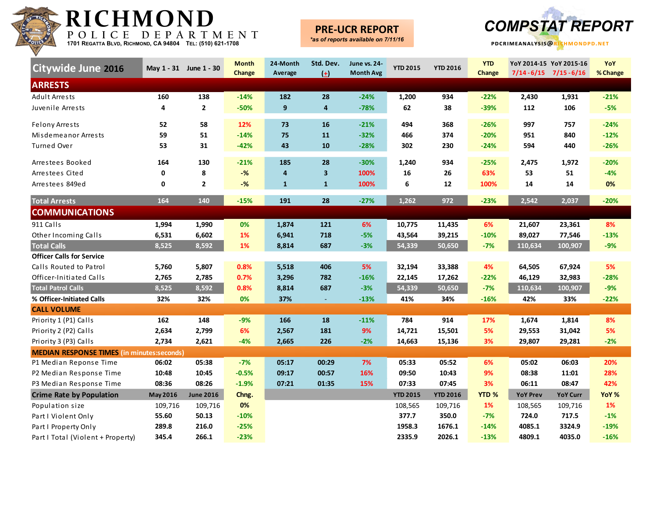

#### **PRE-UCR REPORT**



| Citywide June 2016                                |          | May 1 - 31 June 1 - 30 | <b>Month</b> | 24-Month     | Std. Dev.               | June vs. 24-     | <b>YTD 2015</b> | <b>YTD 2016</b> | <b>YTD</b>       |                 | YoY 2014-15 YoY 2015-16     | YoY      |
|---------------------------------------------------|----------|------------------------|--------------|--------------|-------------------------|------------------|-----------------|-----------------|------------------|-----------------|-----------------------------|----------|
| <b>ARRESTS</b>                                    |          |                        | Change       | Average      | $(\pm)$                 | <b>Month Avg</b> |                 |                 | Change           |                 | $7/14 - 6/15$ $7/15 - 6/16$ | % Change |
| <b>Adult Arrests</b>                              | 160      | 138                    | $-14%$       | 182          | 28                      | $-24%$           | 1,200           | 934             | $-22%$           | 2,430           | 1,931                       | $-21%$   |
| Juvenile Arrests                                  | 4        | $\overline{2}$         | $-50%$       | 9            | 4                       | $-78%$           | 62              | 38              | $-39%$           | 112             | 106                         | $-5%$    |
|                                                   |          |                        |              |              |                         |                  |                 |                 |                  |                 |                             |          |
| <b>Felony Arrests</b>                             | 52       | 58                     | 12%          | 73           | 16                      | $-21%$           | 494             | 368             | $-26%$           | 997             | 757                         | $-24%$   |
| Misdemeanor Arrests                               | 59       | 51                     | $-14%$       | 75           | 11                      | $-32%$           | 466             | 374             | $-20%$           | 951             | 840                         | $-12%$   |
| Turned Over                                       | 53       | 31                     | $-42%$       | 43           | 10                      | $-28%$           | 302             | 230             | $-24%$           | 594             | 440                         | $-26%$   |
| Arrestees Booked                                  | 164      | 130                    | $-21%$       | 185          | 28                      | $-30%$           | 1,240           | 934             | $-25%$           | 2,475           | 1,972                       | $-20%$   |
| Arrestees Cited                                   | 0        | 8                      | $-$ %        | 4            | $\overline{\mathbf{3}}$ | 100%             | 16              | 26              | 63%              | 53              | 51                          | $-4%$    |
| Arrestees 849ed                                   | 0        | $\overline{2}$         | $-$ %        | $\mathbf{1}$ | $\mathbf{1}$            | 100%             | 6               | 12              | 100%             | 14              | 14                          | 0%       |
| <b>Total Arrests</b>                              | 164      | 140                    | $-15%$       | 191          | 28                      | $-27%$           | 1,262           | 972             | $-23%$           | 2,542           | 2,037                       | $-20%$   |
| <b>COMMUNICATIONS</b>                             |          |                        |              |              |                         |                  |                 |                 |                  |                 |                             |          |
| 911 Calls                                         | 1,994    | 1,990                  | 0%           | 1,874        | 121                     | 6%               | 10,775          | 11,435          | 6%               | 21,607          | 23,361                      | 8%       |
| Other Incoming Calls                              | 6,531    | 6,602                  | 1%           | 6,941        | 718                     | $-5%$            | 43,564          | 39,215          | $-10%$           | 89,027          | 77,546                      | $-13%$   |
| <b>Total Calls</b>                                | 8,525    | 8,592                  | 1%           | 8,814        | 687                     | $-3%$            | 54,339          | 50,650          | $-7%$            | 110,634         | 100,907                     | $-9%$    |
| <b>Officer Calls for Service</b>                  |          |                        |              |              |                         |                  |                 |                 |                  |                 |                             |          |
| Calls Routed to Patrol                            | 5,760    | 5,807                  | 0.8%         | 5,518        | 406                     | 5%               | 32,194          | 33,388          | 4%               | 64,505          | 67,924                      | 5%       |
| Officer-Initiated Calls                           | 2,765    | 2,785                  | 0.7%         | 3,296        | 782                     | $-16%$           | 22,145          | 17,262          | $-22%$           | 46,129          | 32,983                      | $-28%$   |
| <b>Total Patrol Calls</b>                         | 8,525    | 8,592                  | 0.8%         | 8,814        | 687                     | $-3%$            | 54,339          | 50,650          | $-7%$            | 110,634         | 100,907                     | $-9%$    |
| % Officer-Initiated Calls                         | 32%      | 32%                    | 0%           | 37%          | $\sim$                  | $-13%$           | 41%             | 34%             | $-16%$           | 42%             | 33%                         | $-22%$   |
| <b>CALL VOLUME</b>                                |          |                        |              |              |                         |                  |                 |                 |                  |                 |                             |          |
| Priority 1 (P1) Calls                             | 162      | 148                    | $-9%$        | 166          | 18                      | $-11%$           | 784             | 914             | 17%              | 1,674           | 1,814                       | 8%       |
| Priority 2 (P2) Calls                             | 2,634    | 2,799                  | 6%           | 2,567        | 181                     | 9%               | 14,721          | 15,501          | 5%               | 29,553          | 31,042                      | 5%       |
| Priority 3 (P3) Calls                             | 2,734    | 2,621                  | $-4%$        | 2,665        | 226                     | $-2%$            | 14,663          | 15,136          | 3%               | 29,807          | 29,281                      | $-2%$    |
| <b>MEDIAN RESPONSE TIMES (in minutes:seconds)</b> |          |                        |              |              |                         |                  |                 |                 |                  |                 |                             |          |
| P1 Median Reponse Time                            | 06:02    | 05:38                  | $-7%$        | 05:17        | 00:29                   | 7%               | 05:33           | 05:52           | 6%               | 05:02           | 06:03                       | 20%      |
| P2 Median Response Time                           | 10:48    | 10:45                  | $-0.5%$      | 09:17        | 00:57                   | 16%              | 09:50           | 10:43           | 9%               | 08:38           | 11:01                       | 28%      |
| P3 Median Response Time                           | 08:36    | 08:26                  | $-1.9%$      | 07:21        | 01:35                   | 15%              | 07:33           | 07:45           | 3%               | 06:11           | 08:47                       | 42%      |
| <b>Crime Rate by Population</b>                   | May 2016 | <b>June 2016</b>       | Chng.        |              |                         |                  | <b>YTD 2015</b> | <b>YTD 2016</b> | YTD <sub>%</sub> | <b>YoY Prev</b> | <b>YoY Curr</b>             | YoY %    |
| Population size                                   | 109,716  | 109,716                | 0%           |              |                         |                  | 108,565         | 109,716         | 1%               | 108,565         | 109,716                     | 1%       |
| Part I Violent Only                               | 55.60    | 50.13                  | $-10%$       |              |                         |                  | 377.7           | 350.0           | $-7%$            | 724.0           | 717.5                       | $-1%$    |
| Part I Property Only                              | 289.8    | 216.0                  | $-25%$       |              |                         |                  | 1958.3          | 1676.1          | $-14%$           | 4085.1          | 3324.9                      | $-19%$   |
| Part I Total (Violent + Property)                 | 345.4    | 266.1                  | $-23%$       |              |                         |                  | 2335.9          | 2026.1          | $-13%$           | 4809.1          | 4035.0                      | $-16%$   |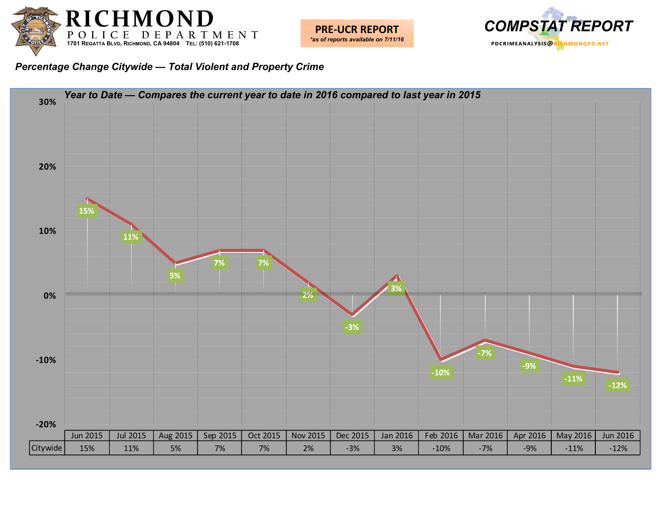





#### *Percentage Change Citywide — Total Violent and Property Crime*

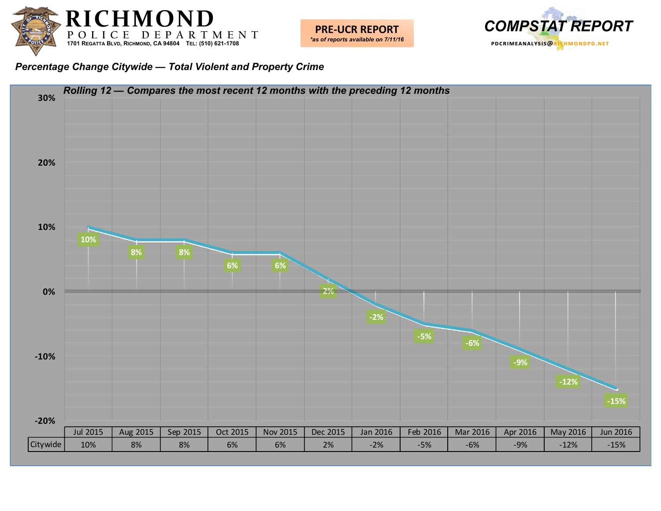



#### *Percentage Change Citywide — Total Violent and Property Crime*

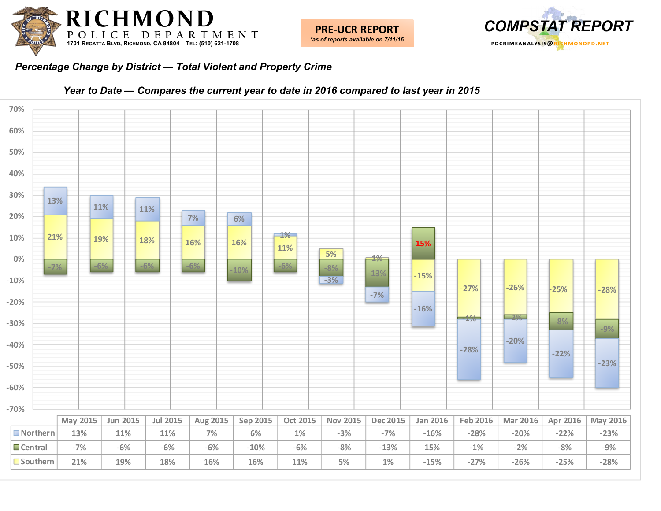



#### *Percentage Change by District — Total Violent and Property Crime*



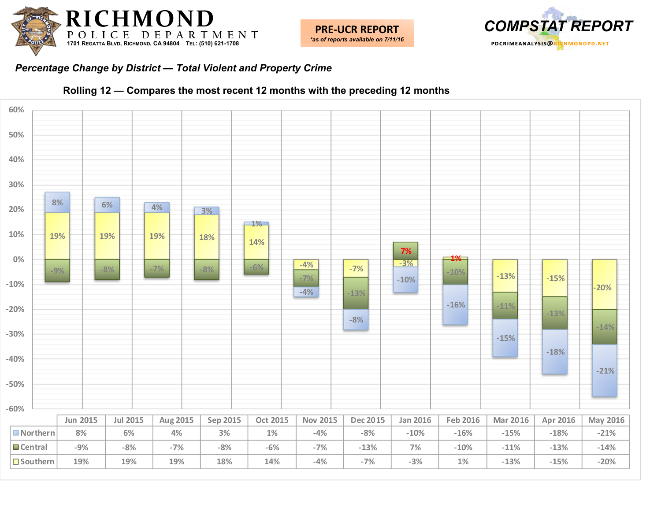





#### *Percentage Change by District — Total Violent and Property Crime*



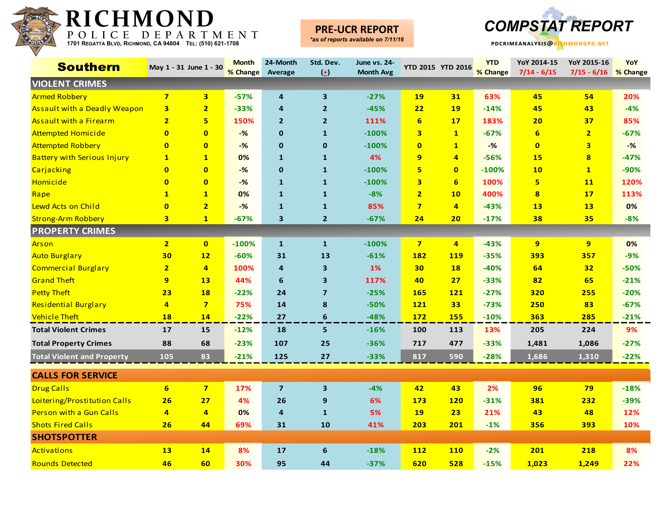

### **PRE-UCR REPORT**



| <b>Southern</b>                     |                         | May 1 - 31 June 1 - 30  | <b>Month</b><br>% Change | 24-Month<br>Average     | Std. Dev.<br>$\left( \pm \right)$ | June vs. 24-<br><b>Month Avg</b> | <b>YTD 2015 YTD 2016</b> |                | <b>YTD</b><br>% Change | YoY 2014-15<br>$7/14 - 6/15$ | YoY 2015-16<br>$7/15 - 6/16$ | YoY<br>% Change |
|-------------------------------------|-------------------------|-------------------------|--------------------------|-------------------------|-----------------------------------|----------------------------------|--------------------------|----------------|------------------------|------------------------------|------------------------------|-----------------|
| <b>VIOLENT CRIMES</b>               |                         |                         |                          |                         |                                   |                                  |                          |                |                        |                              |                              |                 |
| <b>Armed Robbery</b>                | $\overline{7}$          | 3 <sup>1</sup>          | $-57%$                   | 4                       | $\overline{\mathbf{3}}$           | $-27%$                           | 19                       | 31             | 63%                    | 45                           | 54                           | 20%             |
| <b>Assault with a Deadly Weapon</b> | $\overline{\mathbf{3}}$ | $\overline{\mathbf{2}}$ | $-33%$                   | 4                       | $\overline{2}$                    | $-45%$                           | 22                       | <b>19</b>      | $-14%$                 | 45                           | 43                           | $-4%$           |
| <b>Assault with a Firearm</b>       | $\overline{2}$          | 5                       | 150%                     | $\overline{2}$          | $\overline{2}$                    | 111%                             | 6                        | 17             | 183%                   | 20                           | 37                           | 85%             |
| <b>Attempted Homicide</b>           | $\mathbf{0}$            | $\overline{0}$          | $-%$                     | $\bf{0}$                | $\mathbf{1}$                      | $-100%$                          | $\overline{\mathbf{3}}$  | $\mathbf{1}$   | $-67%$                 | 6                            | $\overline{2}$               | $-67%$          |
| <b>Attempted Robbery</b>            | $\mathbf{0}$            | $\mathbf{0}$            | $-$ %                    | $\mathbf 0$             | $\mathbf 0$                       | $-100%$                          | $\overline{0}$           | $\mathbf{1}$   | $-$ %                  | $\mathbf{0}$                 | $\overline{\mathbf{3}}$      | $-%$            |
| <b>Battery with Serious Injury</b>  | $\mathbf{1}$            | $\mathbf{1}$            | 0%                       | $\mathbf{1}$            | $\mathbf{1}$                      | 4%                               | 9                        | $\overline{4}$ | $-56%$                 | <b>15</b>                    | $\overline{\mathbf{8}}$      | $-47%$          |
| Carjacking                          | $\mathbf{0}$            | $\overline{0}$          | $-\frac{9}{6}$           | $\mathbf 0$             | $\mathbf{1}$                      | $-100%$                          | 5                        | $\mathbf{0}$   | $-100%$                | 10                           | $\mathbf{1}$                 | $-90%$          |
| Homicide                            | $\mathbf{0}$            | $\overline{0}$          | $-%$                     | $\mathbf{1}$            | $\mathbf{1}$                      | $-100%$                          | $\overline{\mathbf{3}}$  | 6              | 100%                   | 5                            | <b>11</b>                    | 120%            |
| Rape                                | $\mathbf{1}$            | $\overline{\mathbf{1}}$ | 0%                       | $\mathbf{1}$            | $\mathbf{1}$                      | $-8%$                            | $\overline{2}$           | 10             | 400%                   | $\overline{\mathbf{8}}$      | 17                           | 113%            |
| Lewd Acts on Child                  | $\mathbf{0}$            | $\overline{2}$          | $-$ %                    | $\mathbf{1}$            | $\mathbf{1}$                      | 85%                              | $7\overline{ }$          | $\overline{4}$ | $-43%$                 | 13                           | 13                           | 0%              |
| <b>Strong-Arm Robbery</b>           | $\overline{\mathbf{3}}$ | $\mathbf{1}$            | $-67%$                   | 3                       | $\overline{2}$                    | $-67%$                           | 24                       | 20             | $-17%$                 | 38                           | 35                           | $-8%$           |
| <b>PROPERTY CRIMES</b>              |                         |                         |                          |                         |                                   |                                  |                          |                |                        |                              |                              |                 |
| Arson                               | $\overline{2}$          | $\bullet$               | $-100%$                  | $\mathbf{1}$            | $\mathbf{1}$                      | $-100%$                          | 7 <sup>1</sup>           | $\overline{4}$ | $-43%$                 | 9                            | 9                            | 0%              |
| <b>Auto Burglary</b>                | 30                      | 12                      | $-60%$                   | 31                      | 13                                | $-61%$                           | 182                      | <b>119</b>     | $-35%$                 | 393                          | 357                          | $-9%$           |
| <b>Commercial Burglary</b>          | $\overline{\mathbf{2}}$ | $\overline{4}$          | 100%                     | 4                       | 3                                 | 1%                               | 30                       | <b>18</b>      | $-40%$                 | 64                           | 32                           | $-50%$          |
| <b>Grand Theft</b>                  | 9                       | 13                      | 44%                      | 6                       | 3                                 | 117%                             | 40                       | 27             | $-33%$                 | 82                           | 65                           | $-21%$          |
| <b>Petty Theft</b>                  | 23                      | <b>18</b>               | $-22%$                   | 24                      | $\overline{7}$                    | $-25%$                           | <b>165</b>               | <b>121</b>     | $-27%$                 | 320                          | 255                          | $-20%$          |
| Residential Burglary                | $\overline{\mathbf{4}}$ | $\overline{7}$          | 75%                      | 14                      | 8                                 | $-50%$                           | 121                      | 33             | $-73%$                 | 250                          | 83                           | $-67%$          |
| <b>Vehicle Theft</b>                | <b>18</b>               | 14                      | $-22%$                   | 27                      | 6                                 | $-48%$                           | <b>172</b>               | <b>155</b>     | $-10%$                 | 363                          | 285                          | $-21%$          |
| <b>Total Violent Crimes</b>         | 17                      | 15                      | $-12%$                   | 18                      | 5                                 | $-16%$                           | 100                      | 113            | 13%                    | 205                          | 224                          | 9%              |
| <b>Total Property Crimes</b>        | 88                      | 68                      | $-23%$                   | 107                     | 25                                | $-36%$                           | 717                      | 477            | $-33%$                 | 1,481                        | 1,086                        | $-27%$          |
| <b>Total Violent and Property</b>   | 105                     | 83                      | $-21%$                   | 125                     | 27                                | $-33%$                           | 817                      | 590            | $-28%$                 | 1,686                        | 1,310                        | $-22%$          |
| <b>CALLS FOR SERVICE</b>            |                         |                         |                          |                         |                                   |                                  |                          |                |                        |                              |                              |                 |
| <b>Drug Calls</b>                   | $6\phantom{1}6$         | $\overline{\mathbf{z}}$ | 17%                      | $\overline{\mathbf{z}}$ | $\overline{\mathbf{3}}$           | $-4%$                            | 42                       | 43             | 2%                     | 96                           | 79                           | $-18%$          |
| Loitering/Prostitution Calls        | 26                      | 27                      | 4%                       | 26                      | $\boldsymbol{9}$                  | 6%                               | 173                      | <b>120</b>     | $-31%$                 | 381                          | 232                          | $-39%$          |
| Person with a Gun Calls             | 4                       | $\overline{\mathbf{4}}$ | 0%                       | 4                       | $\mathbf{1}$                      | 5%                               | <b>19</b>                | 23             | 21%                    | 43                           | 48                           | 12%             |
| <b>Shots Fired Calls</b>            | 26                      | 44                      | 69%                      | 31                      | 10                                | 41%                              | 203                      | 201            | $-1%$                  | 356                          | 393                          | 10%             |
| <b>SHOTSPOTTER</b>                  |                         |                         |                          |                         |                                   |                                  |                          |                |                        |                              |                              |                 |
| Activations                         | 13                      | 14                      | 8%                       | 17                      | 6                                 | $-18%$                           | <b>112</b>               | <b>110</b>     | $-2%$                  | 201                          | 218                          | 8%              |
| <b>Rounds Detected</b>              | 46                      | 60                      | 30%                      | 95                      | 44                                | $-37%$                           | 620                      | 528            | $-15%$                 | 1,023                        | 1,249                        | 22%             |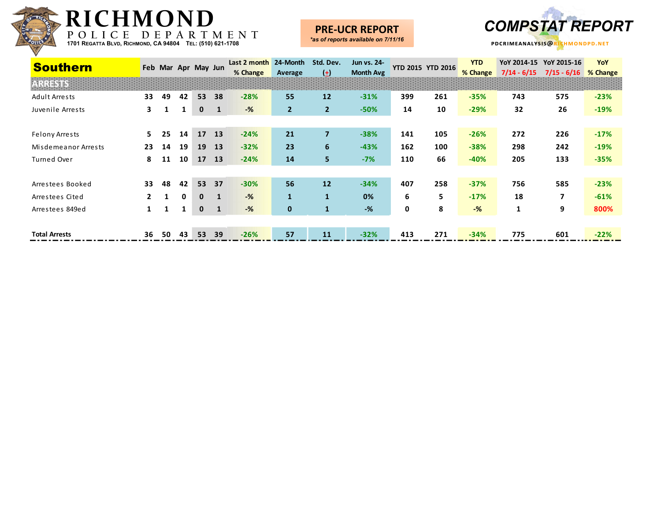

#### **PRE-UCR REPORT**



| <b>Southern</b>      |    |    |    | Feb Mar Apr May Jun |                | Last 2 month<br>% Change | 24-Month<br>Average | Std. Dev.<br>$\left( \pm \right)$ | Jun vs. 24-<br><b>Month Avg</b> |     | <b>YTD 2015 YTD 2016</b> | <b>YTD</b><br>% Change | YoY 2014-15<br>$7/14 - 6/15$ | YoY 2015-16<br>$7/15 - 6/16$ | YoY<br>% Change |
|----------------------|----|----|----|---------------------|----------------|--------------------------|---------------------|-----------------------------------|---------------------------------|-----|--------------------------|------------------------|------------------------------|------------------------------|-----------------|
|                      |    |    |    |                     |                |                          |                     |                                   |                                 |     |                          |                        |                              |                              |                 |
| Adult Arrests        | 33 | 49 | 42 | 53                  | 38             | $-28%$                   | 55                  | 12                                | $-31%$                          | 399 | 261                      | $-35%$                 | 743                          | 575                          | $-23%$          |
| Juvenile Arrests     | 3  | 1  |    | $\mathbf 0$         | $\blacksquare$ | $-%$                     | $\overline{2}$      | $\overline{2}$                    | $-50%$                          | 14  | 10                       | $-29%$                 | 32                           | 26                           | $-19%$          |
|                      |    |    |    |                     |                |                          |                     |                                   |                                 |     |                          |                        |                              |                              |                 |
| Felony Arrests       | 5. | 25 | 14 | 17                  | 13             | $-24%$                   | 21                  | $\overline{7}$                    | $-38%$                          | 141 | 105                      | $-26%$                 | 272                          | 226                          | $-17%$          |
| Misdemeanor Arrests  | 23 | 14 | 19 | 19                  | 13             | $-32%$                   | 23                  | 6                                 | $-43%$                          | 162 | 100                      | $-38%$                 | 298                          | 242                          | $-19%$          |
| Turned Over          | 8  | 11 | 10 | 17                  | 13             | $-24%$                   | 14                  | 5                                 | $-7%$                           | 110 | 66                       | $-40%$                 | 205                          | 133                          | $-35%$          |
|                      |    |    |    |                     |                |                          |                     |                                   |                                 |     |                          |                        |                              |                              |                 |
| Arrestees Booked     | 33 | 48 | 42 | 53                  | 37             | $-30%$                   | 56                  | 12                                | $-34%$                          | 407 | 258                      | $-37%$                 | 756                          | 585                          | $-23%$          |
| Arrestees Cited      |    |    | 0  | $\mathbf{0}$        | $\mathbf{1}$   | $-$ %                    | $\mathbf{1}$        | $\mathbf{1}$                      | 0%                              | 6   | 5.                       | $-17%$                 | 18                           | 7                            | $-61%$          |
| Arrestees 849ed      |    | 1  |    | $\mathbf 0$         | $\mathbf{1}$   | $-%$                     | $\mathbf{0}$        | $\mathbf{1}$                      | $-%$                            | 0   | 8                        | $-$ %                  | $\mathbf{1}$                 | 9                            | 800%            |
|                      |    |    |    |                     |                |                          |                     |                                   |                                 |     |                          |                        |                              |                              |                 |
| <b>Total Arrests</b> | 36 | 50 | 43 | 53                  | 39             | $-26%$                   | 57                  | 11                                | $-32%$                          | 413 | 271                      | $-34%$                 | 775                          | 601                          | $-22%$          |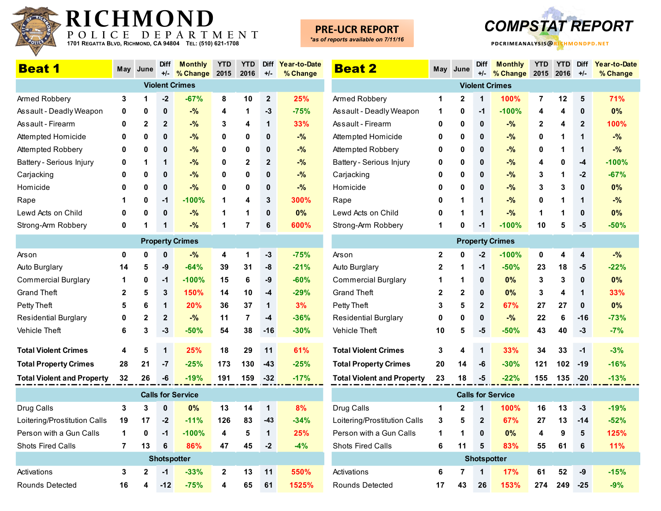

## **PRE-UCR REPORT**



| <b>Beat 1</b>                     | May          | June         | <b>Diff</b><br>$+/-$ | <b>Monthly</b><br>% Change | <b>YTD</b><br>2015 | <b>YTD</b><br>2016 | <b>Diff</b><br>$+/-$ | Year-to-Date<br>% Change |
|-----------------------------------|--------------|--------------|----------------------|----------------------------|--------------------|--------------------|----------------------|--------------------------|
|                                   |              |              |                      | <b>Violent Crimes</b>      |                    |                    |                      |                          |
| Armed Robbery                     | 3            | 1            | $-2$                 | $-67%$                     | 8                  | 10                 | $\overline{2}$       | 25%                      |
| Assault - Deadly Weapon           | 0            | 0            | 0                    | $-$ %                      | 4                  | 1                  | -3                   | $-75%$                   |
| Assault - Firearm                 | 0            | 2            | $\mathbf{2}$         | $-$ %                      | 3                  | 4                  | 1                    | 33%                      |
| Attempted Homicide                | 0            | 0            | $\mathbf{0}$         | $-$ %                      | 0                  | 0                  | 0                    | $-$ %                    |
| Attempted Robbery                 | 0            | 0            | 0                    | $-$ %                      | 0                  | 0                  | 0                    | $-%$                     |
| Battery - Serious Injury          | 0            | 1            | 1                    | $-$ %                      | 0                  | $\mathbf{2}$       | $\overline{2}$       | $-$ %                    |
| Carjacking                        | 0            | 0            | 0                    | $-$ %                      | 0                  | 0                  | 0                    | $-$ %                    |
| Homicide                          | 0            | 0            | 0                    | $-$ %                      | 0                  | 0                  | 0                    | $-$ %                    |
| Rape                              | 1            | 0            | $-1$                 | $-100%$                    | 1                  | 4                  | 3                    | 300%                     |
| Lewd Acts on Child                | 0            | 0            | 0                    | $-$ %                      | 1                  | 1                  | 0                    | 0%                       |
| Strong-Arm Robbery                | 0            | 1            | 1                    | $-$ %                      | 1                  | 7                  | 6                    | 600%                     |
|                                   |              |              |                      | <b>Property Crimes</b>     |                    |                    |                      |                          |
| Arson                             | 0            | 0            | 0                    | $-$ %                      | 4                  | 1                  | -3                   | $-75%$                   |
| Auto Burglary                     | 14           | 5            | -9                   | $-64%$                     | 39                 | 31                 | -8                   | $-21%$                   |
| <b>Commercial Burglary</b>        | 1            | 0            | $-1$                 | $-100%$                    | 15                 | 6                  | -9                   | $-60%$                   |
| <b>Grand Theft</b>                | $\mathbf{2}$ | 5            | 3                    | 150%                       | 14                 | 10                 | $-4$                 | $-29%$                   |
| Petty Theft                       | 5            | 6            | 1                    | <b>20%</b>                 | 36                 | 37                 | 1                    | 3%                       |
| <b>Residential Burglary</b>       | 0            | 2            | $\mathbf{2}$         | $-$ %                      | 11                 | 7                  | -4                   | $-36%$                   |
| <b>Vehicle Theft</b>              | 6            | 3            | -3                   | $-50%$                     | 54                 | 38                 | -16                  | $-30%$                   |
| <b>Total Violent Crimes</b>       | 4            | 5            | 1                    | 25%                        | 18                 | 29                 | 11                   | 61%                      |
| <b>Total Property Crimes</b>      | 28           | 21           | $-7$                 | $-25%$                     | 173                | 130                | -43                  | $-25%$                   |
| <b>Total Violent and Property</b> | 32           | 26           | -6                   | $-19%$                     | 191                | 159                | -32                  | $-17%$                   |
|                                   |              |              |                      | <b>Calls for Service</b>   |                    |                    |                      |                          |
| Drug Calls                        | 3            | 3            | 0                    | 0%                         | 13                 | 14                 | 1                    | 8%                       |
| Loitering/Prostitution Calls      | 19           | 17           | $-2$                 | $-11%$                     | 126                | 83                 | $-43$                | $-34%$                   |
| Person with a Gun Calls           | 1            | 0            | $-1$                 | $-100%$                    | 4                  | 5                  | 1                    | 25%                      |
| <b>Shots Fired Calls</b>          | 7            | 13           | 6                    | 86%                        | 47                 | 45                 | $-2$                 | $-4%$                    |
|                                   |              |              | <b>Shotspotter</b>   |                            |                    |                    |                      |                          |
| Activations                       | 3            | $\mathbf{2}$ | $-1$                 | $-33%$                     | 2                  | 13                 | 11                   | 550%                     |
| Rounds Detected                   | 16           | 4            | $-12$                | $-75%$                     | 4                  | 65                 | 61                   | 1525%                    |

| <b>Beat 2</b>                     | May          | June         | <b>Diff</b><br>$+/-$ | <b>Monthly</b><br>% Change | <b>YTD</b><br>2015 | <b>YTD</b><br>2016 | <b>Diff</b><br>$+/-$ | Year-to-Date<br>% Change |
|-----------------------------------|--------------|--------------|----------------------|----------------------------|--------------------|--------------------|----------------------|--------------------------|
|                                   |              |              |                      | <b>Violent Crimes</b>      |                    |                    |                      |                          |
| Armed Robbery                     | 1            | $\mathbf{2}$ | 1                    | 100%                       | 7                  | 12                 | 5                    | 71%                      |
| Assault - Deadly Weapon           | 1            | 0            | $-1$                 | $-100%$                    | 4                  | 4                  | 0                    | 0%                       |
| Assault - Firearm                 | 0            | 0            | 0                    | $-%$                       | 2                  | 4                  | $\overline{2}$       | 100%                     |
| Attempted Homicide                | 0            | 0            | 0                    | $-$ %                      | 0                  | 1                  | 1                    | $-$ %                    |
| Attempted Robbery                 | 0            | 0            | 0                    | $-$ %                      | 0                  | 1                  | 1                    | $-$ %                    |
| Battery - Serious Injury          | 0            | 0            | 0                    | $-$ %                      | 4                  | 0                  | -4                   | $-100%$                  |
| Carjacking                        | 0            | 0            | 0                    | $-%$                       | 3                  | 1                  | $-2$                 | $-67%$                   |
| Homicide                          | 0            | 0            | 0                    | $-$ %                      | 3                  | 3                  | 0                    | 0%                       |
| Rape                              | 0            | 1            | 1                    | $-$ %                      | 0                  | 1                  | 1                    | $-$ %                    |
| Lewd Acts on Child                | 0            | 1            | 1                    | $-9/6$                     | 1                  | 1                  | 0                    | 0%                       |
| Strong-Arm Robbery                | 1            | 0            | -1                   | $-100%$                    | 10                 | 5                  | -5                   | $-50%$                   |
|                                   |              |              |                      | <b>Property Crimes</b>     |                    |                    |                      |                          |
| Arson                             | 2            | 0            | $-2$                 | $-100%$                    | 0                  | 4                  | 4                    | $-$ %                    |
| Auto Burglary                     | $\mathbf{2}$ | 1            | $-1$                 | $-50%$                     | 23                 | 18                 | -5                   | $-22%$                   |
| Commercial Burglary               | 1            | 1            | 0                    | 0%                         | 3                  | 3                  | 0                    | 0%                       |
| Grand Theft                       | 2            | 2            | 0                    | 0%                         | 3                  | 4                  | 1                    | 33%                      |
| Petty Theft                       | 3            | 5            | $\mathbf{2}$         | 67%                        | 27                 | 27                 | 0                    | 0%                       |
| <b>Residential Burglary</b>       | 0            | 0            | 0                    | $-$ %                      | 22                 | 6                  | $-16$                | $-73%$                   |
| Vehicle Theft                     | 10           | 5            | -5                   | $-50%$                     | 43                 | 40                 | -3                   | $-7%$                    |
| <b>Total Violent Crimes</b>       | 3            | 4            | 1                    | 33%                        | 34                 | 33                 | $-1$                 | $-3%$                    |
| <b>Total Property Crimes</b>      | 20           | 14           | -6                   | $-30%$                     | 121                | 102                | $-19$                | $-16%$                   |
| <b>Total Violent and Property</b> | 23           | 18           | -5                   | -22%                       | 155                | 135                | -20                  | $-13%$                   |
|                                   |              |              |                      | <b>Calls for Service</b>   |                    |                    |                      |                          |
| Drug Calls                        | 1            | 2            | 1                    | 100%                       | 16                 | 13                 | -3                   | $-19%$                   |
| Loitering/Prostitution Calls      | 3            | 5            | 2                    | 67%                        | 27                 | 13                 | $-14$                | $-52%$                   |
| Person with a Gun Calls           | 1            | 1            | 0                    | 0%                         | 4                  | 9                  | 5                    | 125%                     |
| Shots Fired Calls                 | 6            | 11           | 5                    | 83%                        | 55                 | 61                 | 6                    | 11%                      |
|                                   |              |              | <b>Shotspotter</b>   |                            |                    |                    |                      |                          |
| Activations                       | 6            | 7            | 1                    | 17%                        | 61                 | 52                 | -9                   | $-15%$                   |
| Rounds Detected                   | 17           | 43           | 26                   | 153%                       | 274                | 249                | $-25$                | $-9%$                    |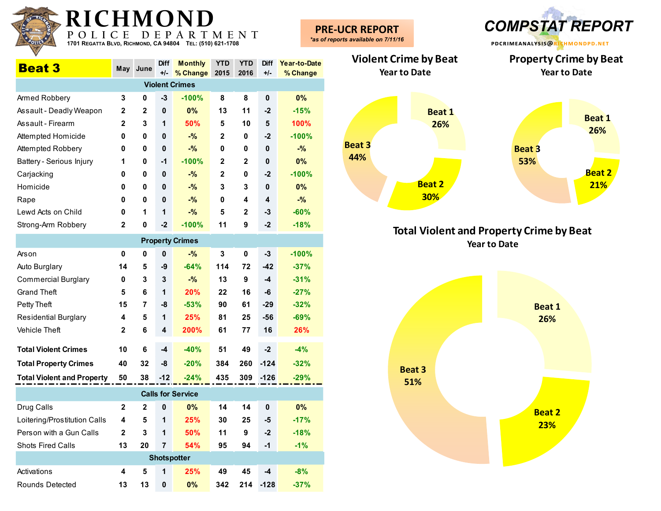| $R_{TC}$    |  |
|-------------|--|
| 11111111111 |  |
| POLIC       |  |

| <b>Beat 3</b>            | May          | June         | <b>Diff</b><br>$+/-$ | <b>Monthly</b><br>% Change | <b>YTD</b><br>2015 | <b>YTD</b><br>2016 | <b>Diff</b><br>$+/-$ | Year-to-Date<br>% Change |
|--------------------------|--------------|--------------|----------------------|----------------------------|--------------------|--------------------|----------------------|--------------------------|
|                          |              |              |                      | <b>Violent Crimes</b>      |                    |                    |                      |                          |
| Armed Robbery            | 3            | 0            | -3                   | $-100%$                    | 8                  | 8                  | $\mathbf{0}$         | 0%                       |
| Assault - Deadly Weapon  | $\mathbf{2}$ | $\mathbf{2}$ | $\mathbf 0$          | 0%                         | 13                 | 11                 | $-2$                 | $-15%$                   |
| Assault - Firearm        | $\mathbf{2}$ | 3            | 1                    | 50%                        | 5                  | 10                 | 5                    | 100%                     |
| Attempted Homicide       | 0            | 0            | $\mathbf 0$          | $-$ %                      | $\mathbf{2}$       | 0                  | $-2$                 | $-100%$                  |
| Attempted Robbery        | 0            | 0            | $\mathbf 0$          | $-$ %                      | 0                  | 0                  | $\bf{0}$             | $-$ %                    |
| Battery - Serious Injury | 1            | 0            | -1                   | $-100%$                    | $\mathbf{2}$       | $\mathbf{2}$       | $\mathbf{0}$         | $0\%$                    |
| Carjacking               | 0            | 0            | $\mathbf 0$          | $-$ %                      | $\mathbf{2}$       | 0                  | $-2$                 | $-100%$                  |
| Homicide                 | 0            | 0            | $\mathbf 0$          | $-$ %                      | 3                  | 3                  | $\mathbf{0}$         | 0%                       |
| Rape                     | 0            | 0            | $\mathbf 0$          | $-$ %                      | 0                  | 4                  | 4                    | $-%$                     |
| Lewd Acts on Child       | 0            | 1            | 1                    | $-$ %                      | 5                  | $\mathbf{2}$       | $-3$                 | $-60%$                   |
| Strong-Arm Robbery       | $\mathbf{2}$ | 0            | $-2$                 | $-100%$                    | 11                 | 9                  | $-2$                 | $-18%$                   |
|                          |              |              |                      | <b>Property Crimes</b>     |                    |                    |                      |                          |
| Arson                    | 0            | 0            | $\mathbf 0$          | $-$ %                      | 3                  | 0                  | $-3$                 | $-100%$                  |
| Auto Burglary            | 14           | 5            | -9                   | $-64%$                     | 114                | 72                 | $-42$                | $-37%$                   |
| Commercial Burglary      | 0            | 3            | 3                    | $-$ %                      | 13                 | 9                  | -4                   | $-31%$                   |

| Auto Burglary                     | 14           | 5            | -9                 | -64%                     | 114 | 72  | -42          | -37%   |  |
|-----------------------------------|--------------|--------------|--------------------|--------------------------|-----|-----|--------------|--------|--|
| Commercial Burglary               | 0            | 3            | 3                  | $-$ %                    | 13  | 9   | $-4$         | $-31%$ |  |
| Grand Theft                       | 5            | 6            | 1                  | 20%                      | 22  | 16  | -6           | $-27%$ |  |
| Petty Theft                       | 15           | 7            | -8                 | $-53%$                   | 90  | 61  | $-29$        | $-32%$ |  |
| Residential Burglary              | 4            | 5            | 1                  | 25%                      | 81  | 25  | $-56$        | $-69%$ |  |
| Vehicle Theft                     | $\mathbf{2}$ | 6            | 4                  | 200%                     | 61  | 77  | 16           | 26%    |  |
| <b>Total Violent Crimes</b>       | 10           | 6            | -4                 | $-40%$                   | 51  | 49  | $-2$         | $-4%$  |  |
| <b>Total Property Crimes</b>      | 40           | 32           | -8                 | $-20%$                   | 384 | 260 | $-124$       | $-32%$ |  |
| <b>Total Violent and Property</b> | 50           | 38           | $-12$              | $-24%$                   | 435 | 309 | $-126$       | $-29%$ |  |
|                                   |              |              |                    | <b>Calls for Service</b> |     |     |              |        |  |
| Drug Calls                        | $\mathbf{2}$ | $\mathbf{2}$ | 0                  | $0\%$                    | 14  | 14  | $\mathbf{0}$ | 0%     |  |
| Loitering/Prostitution Calls      | 4            | 5            | 1                  | 25%                      | 30  | 25  | -5           | $-17%$ |  |
| Person with a Gun Calls           | $\mathbf{2}$ | 3            | 1                  | 50%                      | 11  | 9   | $-2$         | $-18%$ |  |
| Shots Fired Calls                 | 13           | 20           | $\overline{7}$     | 54%                      | 95  | 94  | $-1$         | $-1%$  |  |
|                                   |              |              | <b>Shotspotter</b> |                          |     |     |              |        |  |
| Activations                       | 4            | 5            | 1                  | 25%                      | 49  | 45  | $-4$         | $-8%$  |  |
|                                   |              |              |                    |                          |     |     |              |        |  |

Rounds Detected **13 13 0 0% 342 214 -128 -37%**



**Total Violent and Property Crime by Beat Year to Date**

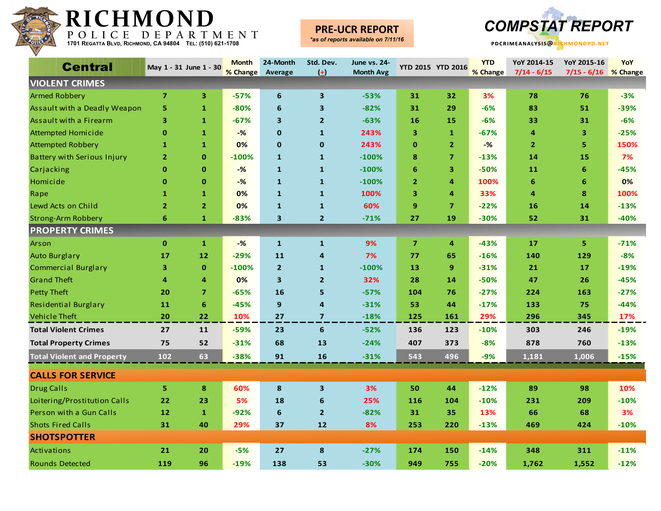

### **PRE-UCR REPORT**



| <b>Central</b>                     |                | May 1 - 31 June 1 - 30 | <b>Month</b><br>% Change | 24-Month<br>Average     | Std. Dev.<br>$(\pm)$    | <b>June vs. 24-</b><br><b>Month Avg</b> | <b>YTD 2015 YTD 2016</b> |                         | <b>YTD</b><br>% Change | YoY 2014-15<br>$7/14 - 6/15$ | YoY 2015-16<br>$7/15 - 6/16$ | <b>YoY</b><br>% Change |
|------------------------------------|----------------|------------------------|--------------------------|-------------------------|-------------------------|-----------------------------------------|--------------------------|-------------------------|------------------------|------------------------------|------------------------------|------------------------|
| <b>VIOLENT CRIMES</b>              |                |                        |                          |                         |                         |                                         |                          |                         |                        |                              |                              |                        |
| <b>Armed Robbery</b>               | $\overline{7}$ | 3                      | $-57%$                   | 6                       | $\mathbf{3}$            | $-53%$                                  | 31                       | 32                      | 3%                     | 78                           | 76                           | $-3%$                  |
| Assault with a Deadly Weapon       | 5              | $\mathbf{1}$           | $-80%$                   | 6                       | $\overline{\mathbf{3}}$ | $-82%$                                  | 31                       | 29                      | $-6%$                  | 83                           | 51                           | $-39%$                 |
| Assault with a Firearm             | з              | 1                      | $-67%$                   | 3                       | $\overline{2}$          | $-63%$                                  | 16                       | 15                      | $-6%$                  | 33                           | 31                           | $-6%$                  |
| <b>Attempted Homicide</b>          | $\mathbf 0$    | 1                      | $-\frac{9}{6}$           | $\mathbf 0$             | $\mathbf{1}$            | 243%                                    | 3                        | 1                       | $-67%$                 | 4                            | 3                            | $-25%$                 |
| <b>Attempted Robbery</b>           | $\mathbf{1}$   | $\mathbf{1}$           | 0%                       | $\mathbf 0$             | $\mathbf 0$             | 243%                                    | $\mathbf 0$              | $\overline{2}$          | $-%$                   | $\overline{2}$               | 5                            | 150%                   |
| <b>Battery with Serious Injury</b> | $\overline{2}$ | $\mathbf 0$            | $-100%$                  | $\mathbf{1}$            | $\mathbf{1}$            | $-100%$                                 | 8                        | $\overline{\mathbf{z}}$ | $-13%$                 | 14                           | 15                           | 7%                     |
| Carjacking                         | $\bf{0}$       | $\mathbf{0}$           | $-\frac{9}{6}$           | $\mathbf{1}$            | $\mathbf{1}$            | $-100%$                                 | 6                        | 3                       | $-50%$                 | 11                           | 6                            | $-45%$                 |
| Homicide                           | $\mathbf{0}$   | $\mathbf 0$            | $-%$                     | $\mathbf{1}$            | $\mathbf{1}$            | $-100%$                                 | $\overline{2}$           | 4                       | 100%                   | 6                            | 6                            | 0%                     |
| Rape                               | 1              | $\mathbf{1}$           | 0%                       | $\mathbf{1}$            | $\mathbf{1}$            | 100%                                    | 3                        | $\overline{a}$          | 33%                    | 4                            | 8                            | 100%                   |
| Lewd Acts on Child                 | $\overline{2}$ | $\overline{2}$         | 0%                       | $\mathbf{1}$            | $\mathbf{1}$            | 60%                                     | 9                        | $\overline{7}$          | $-22%$                 | 16                           | 14                           | $-13%$                 |
| <b>Strong-Arm Robbery</b>          | 6              | $\mathbf{1}$           | $-83%$                   | $\overline{\mathbf{3}}$ | $\overline{2}$          | $-71%$                                  | 27                       | 19                      | $-30%$                 | 52                           | 31                           | $-40%$                 |
| <b>PROPERTY CRIMES</b>             |                |                        |                          |                         |                         |                                         |                          |                         |                        |                              |                              |                        |
| Arson                              | $\mathbf{0}$   | $\mathbf{1}$           | $-$ %                    | $\mathbf{1}$            | $\mathbf{1}$            | 9%                                      | $\overline{7}$           | $\overline{4}$          | $-43%$                 | 17                           | 5                            | $-71%$                 |
| <b>Auto Burglary</b>               | 17             | 12                     | $-29%$                   | 11                      | 4                       | 7%                                      | 77                       | 65                      | $-16%$                 | 140                          | 129                          | $-8%$                  |
| <b>Commercial Burglary</b>         | 3              | $\mathbf 0$            | $-100%$                  | $\overline{2}$          | $\mathbf{1}$            | $-100%$                                 | 13                       | 9                       | $-31%$                 | 21                           | 17                           | $-19%$                 |
| <b>Grand Theft</b>                 | 4              | 4                      | 0%                       | $\overline{\mathbf{3}}$ | $\overline{2}$          | 32%                                     | 28                       | 14                      | $-50%$                 | 47                           | 26                           | $-45%$                 |
| <b>Petty Theft</b>                 | 20             | $\overline{7}$         | $-65%$                   | 16                      | 5                       | $-57%$                                  | 104                      | 76                      | $-27%$                 | 224                          | 163                          | $-27%$                 |
| <b>Residential Burglary</b>        | 11             | 6                      | $-45%$                   | $\boldsymbol{9}$        | 4                       | $-31%$                                  | 53                       | 44                      | $-17%$                 | 133                          | 75                           | $-44%$                 |
| <b>Vehicle Theft</b>               | 20             | 22                     | 10%                      | 27                      | $\overline{7}$          | $-18%$                                  | 125                      | 161                     | 29%                    | 296                          | 345                          | 17%                    |
| <b>Total Violent Crimes</b>        | 27             | 11                     | $-59%$                   | 23                      | 6                       | $-52%$                                  | 136                      | 123                     | $-10%$                 | 303                          | 246                          | $-19%$                 |
| <b>Total Property Crimes</b>       | 75             | 52                     | $-31%$                   | 68                      | 13                      | $-24%$                                  | 407                      | 373                     | $-8%$                  | 878                          | 760                          | $-13%$                 |
| <b>Total Violent and Property</b>  | 102            | 63                     | $-38%$                   | 91                      | 16                      | $-31%$                                  | 543                      | 496                     | $-9%$                  | 1,181                        | 1,006                        | $-15%$                 |
| <b>CALLS FOR SERVICE</b>           |                |                        |                          |                         |                         |                                         |                          |                         |                        |                              |                              |                        |
| <b>Drug Calls</b>                  | 5              | 8                      | 60%                      | 8                       | $\overline{\mathbf{3}}$ | 3%                                      | 50                       | 44                      | $-12%$                 | 89                           | 98                           | 10%                    |
| Loitering/Prostitution Calls       | 22             | 23                     | 5%                       | 18                      | 6                       | 25%                                     | 116                      | 104                     | $-10%$                 | 231                          | 209                          | $-10%$                 |
| Person with a Gun Calls            | 12             | $\mathbf{1}$           | $-92%$                   | $\boldsymbol{6}$        | $\overline{2}$          | $-82%$                                  | 31                       | 35                      | 13%                    | 66                           | 68                           | 3%                     |
| <b>Shots Fired Calls</b>           | 31             | 40                     | 29%                      | 37                      | 12                      | 8%                                      | 253                      | 220                     | $-13%$                 | 469                          | 424                          | $-10%$                 |
| <b>SHOTSPOTTER</b>                 |                |                        |                          |                         |                         |                                         |                          |                         |                        |                              |                              |                        |
| Activations                        | 21             | 20                     | $-5%$                    | 27                      | 8                       | $-27%$                                  | 174                      | 150                     | $-14%$                 | 348                          | 311                          | $-11%$                 |
| <b>Rounds Detected</b>             | 119            | 96                     | $-19%$                   | 138                     | 53                      | $-30%$                                  | 949                      | 755                     | $-20%$                 | 1,762                        | 1,552                        | $-12%$                 |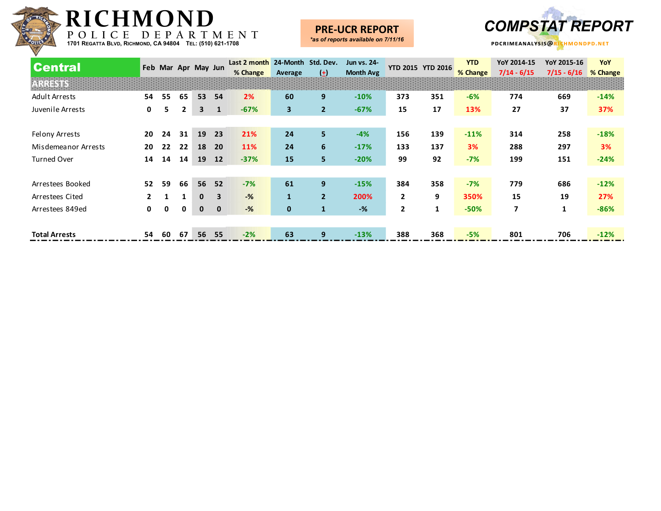

### **PRE-UCR REPORT**



| <b>Central</b>       |    | Feb Mar Apr May Jun |              |              |              | Last 2 month<br>% Change | 24-Month Std. Dev.<br>Average | $(\pm)$        | Jun vs. 24-<br><b>Month Avg</b> |                | <b>YTD 2015 YTD 2016</b> | <b>YTD</b><br>% Change | YoY 2014-15<br>$7/14 - 6/15$ | YoY 2015-16<br>$7/15 - 6/16$ | YoY<br>% Change |
|----------------------|----|---------------------|--------------|--------------|--------------|--------------------------|-------------------------------|----------------|---------------------------------|----------------|--------------------------|------------------------|------------------------------|------------------------------|-----------------|
| ARRESTS              |    |                     |              |              |              |                          |                               |                |                                 |                |                          |                        |                              |                              |                 |
| <b>Adult Arrests</b> | 54 | 55                  | 65           | 53           | 54           | 2%                       | 60                            | 9              | $-10%$                          | 373            | 351                      | $-6%$                  | 774                          | 669                          | $-14%$          |
| Juvenile Arrests     | 0  | 5.                  | $\mathbf{2}$ | 3            | 1            | $-67%$                   | 3                             | $\overline{2}$ | $-67%$                          | 15             | 17                       | 13%                    | 27                           | 37                           | 37%             |
|                      |    |                     |              |              |              |                          |                               |                |                                 |                |                          |                        |                              |                              |                 |
| Felony Arrests       | 20 | 24                  | 31           | 19           | 23           | 21%                      | 24                            | 5              | $-4%$                           | 156            | 139                      | $-11%$                 | 314                          | 258                          | $-18%$          |
| Misdemeanor Arrests  | 20 | 22                  | 22           | 18           | <b>20</b>    | 11%                      | 24                            | 6              | $-17%$                          | 133            | 137                      | 3%                     | 288                          | 297                          | 3%              |
| <b>Turned Over</b>   | 14 | 14                  | 14           | 19           | <b>12</b>    | $-37%$                   | 15                            | 5              | $-20%$                          | 99             | 92                       | $-7%$                  | 199                          | 151                          | $-24%$          |
|                      |    |                     |              |              |              |                          |                               |                |                                 |                |                          |                        |                              |                              |                 |
| Arrestees Booked     | 52 | 59                  | 66           | 56           | 52           | $-7%$                    | 61                            | 9              | $-15%$                          | 384            | 358                      | $-7%$                  | 779                          | 686                          | $-12%$          |
| Arrestees Cited      |    |                     |              | $\mathbf{0}$ | 3            | $-$ %                    | $\mathbf{1}$                  | $2^{\circ}$    | 200%                            | $\overline{2}$ | 9                        | 350%                   | 15                           | 19                           | 27%             |
| Arrestees 849ed      | 0  | $\mathbf 0$         | $\mathbf 0$  | $\mathbf{0}$ | $\mathbf{0}$ | $-$ %                    | $\mathbf 0$                   | $\mathbf{1}$   | $-%$                            | $\overline{2}$ | $\mathbf{1}$             | $-50%$                 | 7                            | $\mathbf{1}$                 | $-86%$          |
|                      |    |                     |              |              |              |                          |                               |                |                                 |                |                          |                        |                              |                              |                 |
| <b>Total Arrests</b> | 54 | 60                  | 67           | 56           | 55           | $-2%$                    | 63                            | 9              | $-13%$                          | 388            | 368                      | $-5%$                  | 801                          | 706                          | $-12%$          |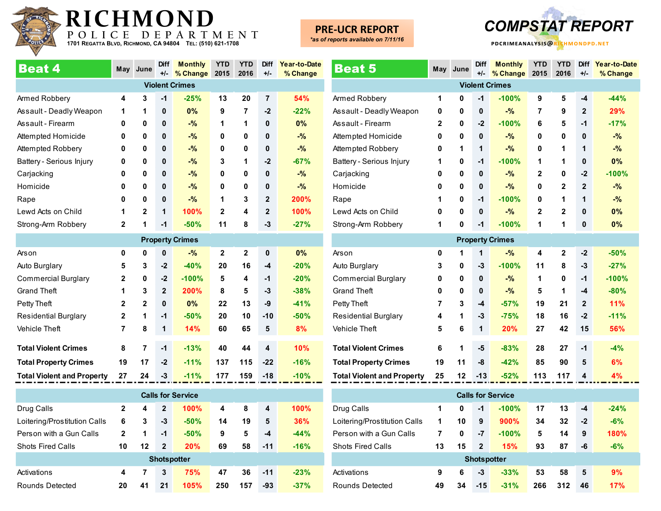

## **PRE-UCR REPORT**

*\*as of reports available on 7/11/16*



| <b>Beat 4</b>                | May            | June           | <b>Diff</b><br>$+/-$ | <b>Monthly</b><br>% Change | YTD<br>2015  | YTD<br>2016  | Diff<br>$+/-$  | Year-to-Date<br>% Change |
|------------------------------|----------------|----------------|----------------------|----------------------------|--------------|--------------|----------------|--------------------------|
|                              |                |                |                      | <b>Violent Crimes</b>      |              |              |                |                          |
| Armed Robbery                | 4              | 3              | $-1$                 | $-25%$                     | 13           | 20           | $\overline{7}$ | 54%                      |
| Assault - Deadly Weapon      | 1              | 1              | $\mathbf 0$          | 0%                         | 9            | 7            | $-2$           | $-22%$                   |
| Assault - Firearm            | 0              | 0              | $\mathbf{0}$         | $-$ %                      | 1            | 1            | $\mathbf{0}$   | 0%                       |
| Attempted Homicide           | 0              | 0              | 0                    | $-$ %                      | 0            | 0            | $\mathbf{0}$   | $-$ %                    |
| Attempted Robbery            | $\mathbf{0}$   | 0              | $\mathbf{0}$         | $-$ %                      | 0            | $\mathbf{0}$ | $\mathbf{0}$   | $-$ %                    |
| Battery - Serious Injury     | 0              | 0              | 0                    | $-$ %                      | 3            | 1            | $-2$           | $-67%$                   |
| Carjacking                   | $\mathbf{0}$   | 0              | 0                    | $-$ %                      | 0            | $\bf{0}$     | $\mathbf{0}$   | $-$ %                    |
| Homicide                     | 0              | 0              | $\mathbf{0}$         | $-$ %                      | $\mathbf{0}$ | 0            | $\mathbf{0}$   | $-$ %                    |
| Rape                         | 0              | 0              | 0                    | $-$ %                      | 1            | 3            | $\mathbf{2}$   | 200%                     |
| Lewd Acts on Child           | 1              | $\mathbf{2}$   | 1                    | 100%                       | $\mathbf{2}$ | 4            | $\overline{2}$ | 100%                     |
| Strong-Arm Robbery           | $\mathbf{2}$   | 1              | $-1$                 | $-50%$                     | 11           | 8            | $-3$           | $-27%$                   |
|                              |                |                |                      | <b>Property Crimes</b>     |              |              |                |                          |
| Arson                        | 0              | 0              | 0                    | $-$ %                      | $\mathbf{2}$ | $\mathbf{2}$ | $\mathbf 0$    | 0%                       |
| Auto Burglary                | 5              | 3              | $-2$                 | $-40%$                     | 20           | 16           | $-4$           | $-20%$                   |
| <b>Commercial Burglary</b>   | $\mathbf{2}$   | 0              | $-2$                 | $-100%$                    | 5            | 4            | $-1$           | $-20%$                   |
| <b>Grand Theft</b>           | 1              | 3              | $\mathbf{2}$         | 200%                       | 8            | 5            | $-3$           | $-38%$                   |
| Petty Theft                  | $\mathbf{2}$   | $\overline{2}$ | 0                    | 0%                         | 22           | 13           | -9             | $-41%$                   |
| <b>Residential Burglary</b>  | $\mathbf 2$    | 1              | $-1$                 | $-50%$                     | 20           | 10           | $-10$          | $-50%$                   |
| Vehicle Theft                | $\overline{7}$ | 8              | 1                    | 14%                        | 60           | 65           | 5              | 8%                       |
| <b>Total Violent Crimes</b>  | 8              | 7              | $-1$                 | $-13%$                     | 40           | 44           | 4              | 10%                      |
| <b>Total Property Crimes</b> | 19             | 17             | $-2$                 | $-11%$                     | 137          | 115          | $-22$          | $-16%$                   |

| <b>Calls for Service</b>     |              |    |              |                    |     |     |       |             |  |  |  |  |  |
|------------------------------|--------------|----|--------------|--------------------|-----|-----|-------|-------------|--|--|--|--|--|
| Drug Calls                   | $\mathbf{2}$ | 4  | $\mathbf{2}$ | 100%               | 4   | 8   | 4     | <b>100%</b> |  |  |  |  |  |
| Loitering/Prostitution Calls | 6            | 3  | -3           | $-50%$             | 14  | 19  | 5     | 36%         |  |  |  |  |  |
| Person with a Gun Calls      | $\mathbf{2}$ | 1  | $-1$         | $-50%$             | 9   | 5   | -4    | $-44%$      |  |  |  |  |  |
| <b>Shots Fired Calls</b>     | 10           | 12 | $\mathbf 2$  | 20%                | 69  | 58  | $-11$ | $-16%$      |  |  |  |  |  |
|                              |              |    |              | <b>Shotspotter</b> |     |     |       |             |  |  |  |  |  |
| Activations                  | 4            | 7  | 3            | 75%                | 47  | 36  | $-11$ | $-23%$      |  |  |  |  |  |
| Rounds Detected              | 20           | 41 | 21           | 105%               | 250 | 157 | $-93$ | $-37%$      |  |  |  |  |  |

**Total Violent and Property 27 24 -3 -11% 177 159 -18 -10%**

| <b>Beat 5</b>                     | May          | June        | <b>Diff</b><br>$+/-$ | <b>Monthly</b><br>% Change | <b>YTD</b><br>2015 | <b>YTD</b><br>2016 | <b>Diff</b><br>+/- | Year-to-Date<br>% Change |  |  |  |  |  |
|-----------------------------------|--------------|-------------|----------------------|----------------------------|--------------------|--------------------|--------------------|--------------------------|--|--|--|--|--|
|                                   |              |             |                      | <b>Violent Crimes</b>      |                    |                    |                    |                          |  |  |  |  |  |
| Armed Robbery                     | 1            | 0           | $-1$                 | $-100%$                    | 9                  | 5                  | -4                 | $-44%$                   |  |  |  |  |  |
| Assault - Deadly Weapon           | 0            | 0           | $\mathbf 0$          | $-$ %                      | 7                  | 9                  | $\mathbf{2}$       | 29%                      |  |  |  |  |  |
| Assault - Firearm                 | $\mathbf{2}$ | 0           | $-2$                 | $-100%$                    | 6                  | 5                  | $-1$               | $-17%$                   |  |  |  |  |  |
| Attempted Homicide                | 0            | 0           | 0                    | $-$ %                      | 0                  | 0                  | 0                  | $-$ %                    |  |  |  |  |  |
| Attempted Robbery                 | 0            | 1           | 1                    | $-$ %                      | 0                  | 1                  | 1                  | $-$ %                    |  |  |  |  |  |
| Battery - Serious Injury          | 1            | 0           | $-1$                 | $-100%$                    | 1                  | 1                  | 0                  | 0%                       |  |  |  |  |  |
| Carjacking                        | 0            | 0           | 0                    | $-$ %                      | $\mathbf{2}$       | 0                  | $-2$               | $-100%$                  |  |  |  |  |  |
| Homicide                          | 0            | 0           | $\mathbf 0$          | $-$ %                      | 0                  | $\mathbf{2}$       | $\mathbf{2}$       | $-$ %                    |  |  |  |  |  |
| Rape                              | 1            | 0           | $-1$                 | $-100%$                    | 0                  | 1                  | 1                  | $-$ %                    |  |  |  |  |  |
| Lewd Acts on Child                | 0            | 0           | $\mathbf{0}$         | $-$ %                      | $\mathbf{2}$       | $\mathbf{2}$       | $\mathbf{0}$       | 0%                       |  |  |  |  |  |
| Strong-Arm Robbery                | 1            | 0           | $-1$                 | $-100%$                    | 1                  | 1                  | 0                  | 0%                       |  |  |  |  |  |
| <b>Property Crimes</b>            |              |             |                      |                            |                    |                    |                    |                          |  |  |  |  |  |
| Arson                             | $\mathbf 0$  | 1           | 1                    | $-$ %                      | 4                  | $\mathbf 2$        | $-2$               | $-50%$                   |  |  |  |  |  |
| Auto Burglary                     | 3            | 0           | $-3$                 | $-100%$                    | 11                 | 8                  | $-3$               | $-27%$                   |  |  |  |  |  |
| <b>Commercial Burglary</b>        | 0            | 0           | $\mathbf{0}$         | $-$ %                      | 1                  | 0                  | $-1$               | $-100%$                  |  |  |  |  |  |
| <b>Grand Theft</b>                | 0            | 0           | $\mathbf{0}$         | $-$ %                      | 5                  | 1                  | $-4$               | $-80%$                   |  |  |  |  |  |
| Petty Theft                       | 7            | 3           | -4                   | $-57%$                     | 19                 | 21                 | $\mathbf{2}$       | 11%                      |  |  |  |  |  |
| <b>Residential Burglary</b>       | 4            | 1           | -3                   | $-75%$                     | 18                 | 16                 | $-2$               | $-11%$                   |  |  |  |  |  |
| <b>Vehicle Theft</b>              | 5            | 6           | 1                    | 20%                        | 27                 | 42                 | 15                 | 56%                      |  |  |  |  |  |
| <b>Total Violent Crimes</b>       | 6            | 1           | -5                   | $-83%$                     | 28                 | 27                 | $-1$               | $-4%$                    |  |  |  |  |  |
| <b>Total Property Crimes</b>      | 19           | 11          | -8                   | $-42%$                     | 85                 | 90                 | 5                  | 6%                       |  |  |  |  |  |
| <b>Total Violent and Property</b> | 25           | 12          | $-13$                | $-52%$                     | 113                | 117                | 4                  | 4%                       |  |  |  |  |  |
| <b>Calls for Service</b>          |              |             |                      |                            |                    |                    |                    |                          |  |  |  |  |  |
| Drug Calls                        | 1            | $\mathbf 0$ | $-1$                 | $-100%$                    | 17                 | 13                 | -4                 | $-24%$                   |  |  |  |  |  |
| Loitering/Prostitution Calls      | 1            | 10          | 9                    | 900%                       | 34                 | 32                 | $-2$               | $-6%$                    |  |  |  |  |  |

| Loitering/Prostitution Calls | 1  | 10 | 9                  | $900\%$ | 34  | 32  | $-2$ | $-6\%$      |
|------------------------------|----|----|--------------------|---------|-----|-----|------|-------------|
| Person with a Gun Calls      |    | 0  | -7                 | $-100%$ | 5   | 14  | 9    | <b>180%</b> |
| Shots Fired Calls            | 13 | 15 | $\mathbf 2$        | 15%     | 93  | 87  | -6   | $-6\%$      |
|                              |    |    | <b>Shotspotter</b> |         |     |     |      |             |
| Activations                  | 9  | 6  | -3                 | $-33%$  | 53  | 58  | 5    | 9%          |
| Rounds Detected              | 49 | 34 | $-15$              | $-31%$  | 266 | 312 | 46   | 17%         |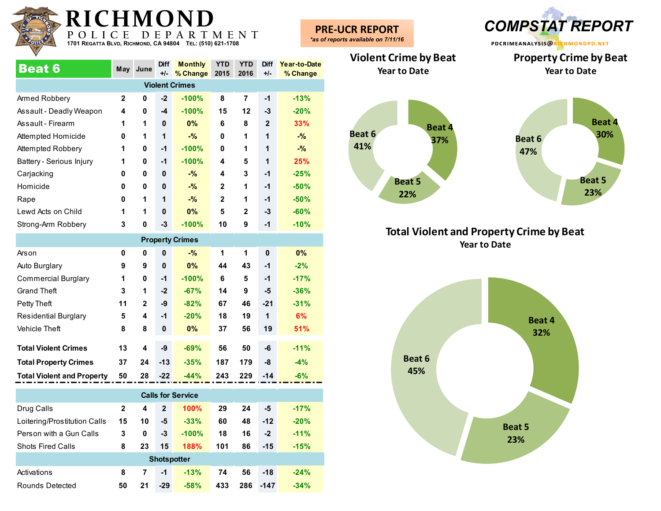

| <b>Beat 6</b>            | May          | June | <b>Diff</b><br>$+/-$ | <b>Monthly</b><br>% Change | <b>YTD</b><br>2015 | <b>YTD</b><br>2016 | <b>Diff</b><br>$+/-$ | Year-to-Date<br>% Change |  |  |  |  |
|--------------------------|--------------|------|----------------------|----------------------------|--------------------|--------------------|----------------------|--------------------------|--|--|--|--|
| <b>Violent Crimes</b>    |              |      |                      |                            |                    |                    |                      |                          |  |  |  |  |
| Armed Robbery            | $\mathbf{2}$ | 0    | $-2$                 | $-100%$                    | 8                  | 7                  | $-1$                 | $-13%$                   |  |  |  |  |
| Assault - Deadly Weapon  | 4            | 0    | -4                   | $-100%$                    | 15                 | 12                 | -3                   | $-20%$                   |  |  |  |  |
| Assault - Firearm        | 1            | 1    | 0                    | $0\%$                      | 6                  | 8                  | $\overline{2}$       | 33%                      |  |  |  |  |
| Attempted Homicide       | 0            | 1    | 1                    | $-$ %                      | 0                  | 1                  | 1                    | $-$ %                    |  |  |  |  |
| Attempted Robbery        | 1            | 0    | $-1$                 | $-100%$                    | 0                  | 1                  | 1                    | $-%$                     |  |  |  |  |
| Battery - Serious Injury | 1            | 0    | $-1$                 | $-100%$                    | 4                  | 5                  | 1                    | 25%                      |  |  |  |  |
| Carjacking               | 0            | 0    | 0                    | $-$ %                      | 4                  | 3                  | $-1$                 | $-25%$                   |  |  |  |  |
| Homicide                 | 0            | 0    | $\mathbf{0}$         | $-$ %                      | $\mathbf{2}$       | 1                  | $-1$                 | $-50%$                   |  |  |  |  |
| Rape                     | 0            | 1    | 1                    | $-$ %                      | $\mathbf{2}$       | 1                  | $-1$                 | $-50%$                   |  |  |  |  |
| Lewd Acts on Child       | 1            | 1    | $\mathbf{0}$         | 0%                         | 5                  | $\mathbf{2}$       | $-3$                 | $-60%$                   |  |  |  |  |
| Strong-Arm Robbery       | 3            | 0    | $-3$                 | $-100%$                    | 10                 | 9                  | $-1$                 | $-10%$                   |  |  |  |  |
|                          |              |      |                      | <b>Property Crimes</b>     |                    |                    |                      |                          |  |  |  |  |

| <b>Property Orings</b>            |    |              |              |         |     |     |             |        |  |  |  |  |
|-----------------------------------|----|--------------|--------------|---------|-----|-----|-------------|--------|--|--|--|--|
| Arson                             | 0  | 0            | $\mathbf{0}$ | $-$ %   | 1   | 1   | $\mathbf 0$ | 0%     |  |  |  |  |
| Auto Burglary                     | 9  | 9            | $\mathbf{0}$ | 0%      | 44  | 43  | $-1$        | $-2%$  |  |  |  |  |
| <b>Commercial Burglary</b>        | 1  | 0            | $-1$         | $-100%$ | 6   | 5   | $-1$        | $-17%$ |  |  |  |  |
| <b>Grand Theft</b>                | 3  | 1            | $-2$         | $-67%$  | 14  | 9   | -5          | $-36%$ |  |  |  |  |
| Petty Theft                       | 11 | $\mathbf{2}$ | -9           | $-82%$  | 67  | 46  | $-21$       | $-31%$ |  |  |  |  |
| <b>Residential Burglary</b>       | 5  | 4            | $-1$         | $-20%$  | 18  | 19  | 1           | 6%     |  |  |  |  |
| <b>Vehicle Theft</b>              | 8  | 8            | 0            | 0%      | 37  | 56  | 19          | 51%    |  |  |  |  |
|                                   |    |              |              |         |     |     |             |        |  |  |  |  |
| <b>Total Violent Crimes</b>       | 13 | 4            | -9           | $-69%$  | 56  | 50  | $-6$        | $-11%$ |  |  |  |  |
| <b>Total Property Crimes</b>      | 37 | 24           | $-13$        | $-35%$  | 187 | 179 | -8          | $-4%$  |  |  |  |  |
| <b>Total Violent and Property</b> | 50 | 28           | $-22$        | $-44%$  | 243 | 229 | $-14$       | $-6%$  |  |  |  |  |
|                                   |    |              |              |         |     |     |             |        |  |  |  |  |

| <b>Calls for Service</b>     |              |    |                    |             |     |     |        |        |  |  |  |  |  |
|------------------------------|--------------|----|--------------------|-------------|-----|-----|--------|--------|--|--|--|--|--|
| Drug Calls                   | $\mathbf{2}$ | 4  | $\mathbf{2}$       | 100%        | 29  | 24  | -5     | $-17%$ |  |  |  |  |  |
| Loitering/Prostitution Calls | 15           | 10 | -5                 | $-33%$      | 60  | 48  | $-12$  | $-20%$ |  |  |  |  |  |
| Person with a Gun Calls      | 3            | 0  | $-3$               | $-100%$     | 18  | 16  | $-2$   | $-11%$ |  |  |  |  |  |
| <b>Shots Fired Calls</b>     | 8            | 23 | 15                 | <b>188%</b> | 101 | 86  | $-15$  | $-15%$ |  |  |  |  |  |
|                              |              |    | <b>Shotspotter</b> |             |     |     |        |        |  |  |  |  |  |
| Activations                  | 8            | 7  | $-1$               | $-13%$      | 74  | 56  | $-18$  | $-24%$ |  |  |  |  |  |
| Rounds Detected              | 50           | 21 | $-29$              | $-58%$      | 433 | 286 | $-147$ | $-34%$ |  |  |  |  |  |

**PRE-UCR REPORT** *\*as of reports available on 7/11/16*



**Property Crime by Beat Year to Date**

**Violent Crime by Beat Year to Date**





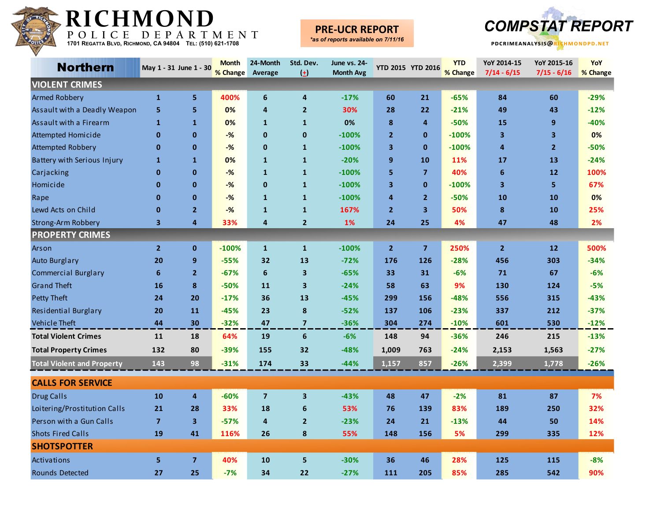

## **PRE**

**pdcrimeanalysis@richmondpd.net -UCR REPORT** *COMPSTAT REPORT*

|  | *as of reports available on 7/11/16 |  |
|--|-------------------------------------|--|

| <b>Northern</b>                   |                         | May 1 - 31 June 1 - 30  | <b>Month</b> | 24-Month                | Std. Dev.               | June vs. 24-     |                | YTD 2015 YTD 2016       | <b>YTD</b> | YoY 2014-15             | YoY 2015-16             | YoY      |
|-----------------------------------|-------------------------|-------------------------|--------------|-------------------------|-------------------------|------------------|----------------|-------------------------|------------|-------------------------|-------------------------|----------|
|                                   |                         |                         | % Change     | <b>Average</b>          | $\left(\pm\right)$      | <b>Month Avg</b> |                |                         | % Change   | $7/14 - 6/15$           | $7/15 - 6/16$           | % Change |
| <b>VIOLENT CRIMES</b>             |                         |                         |              |                         |                         |                  |                |                         |            |                         |                         |          |
| <b>Armed Robbery</b>              | $\mathbf{1}$            | 5                       | 400%         | 6                       | $\overline{4}$          | $-17%$           | 60             | 21                      | $-65%$     | 84                      | 60                      | $-29%$   |
| Assault with a Deadly Weapon      | $\overline{\mathbf{5}}$ | 5                       | 0%           | 4                       | $\overline{2}$          | 30%              | 28             | 22                      | $-21%$     | 49                      | 43                      | $-12%$   |
| Assault with a Firearm            | $\mathbf{1}$            | $\mathbf{1}$            | 0%           | $\mathbf{1}$            | $\mathbf{1}$            | 0%               | 8              | $\overline{4}$          | $-50%$     | 15                      | 9                       | $-40%$   |
| Attempted Homicide                | $\pmb{0}$               | $\mathbf{0}$            | $-$ %        | $\mathbf{0}$            | $\mathbf{0}$            | $-100%$          | $\overline{2}$ | $\mathbf{0}$            | $-100%$    | $\overline{\mathbf{3}}$ | $\overline{\mathbf{3}}$ | 0%       |
| <b>Attempted Robbery</b>          | $\mathbf 0$             | $\mathbf{0}$            | $-%$         | $\bf{0}$                | $\mathbf{1}$            | $-100%$          | 3              | $\mathbf{0}$            | $-100%$    | 4                       | $\overline{2}$          | $-50%$   |
| Battery with Serious Injury       | $\mathbf{1}$            | $\mathbf{1}$            | 0%           | $\mathbf{1}$            | $\mathbf{1}$            | $-20%$           | 9              | 10                      | 11%        | 17                      | 13                      | $-24%$   |
| Carjacking                        | $\mathbf{0}$            | $\bf{0}$                | $-%$         | $\mathbf{1}$            | $\mathbf{1}$            | $-100%$          | 5              | $\overline{\mathbf{z}}$ | 40%        | 6                       | $12$                    | 100%     |
| Homicide                          | $\mathbf{0}$            | $\mathbf{0}$            | $-%$         | $\mathbf 0$             | $\mathbf{1}$            | $-100%$          | 3              | $\mathbf{0}$            | $-100%$    | 3                       | 5                       | 67%      |
| Rape                              | $\mathbf 0$             | $\mathbf{0}$            | $-%$         | $\mathbf{1}$            | $\mathbf{1}$            | $-100%$          | 4              | $\overline{2}$          | $-50%$     | 10                      | 10                      | 0%       |
| Lewd Acts on Child                | $\mathbf 0$             | $\overline{2}$          | $-$ %        | $\mathbf{1}$            | $\mathbf{1}$            | 167%             | $\overline{2}$ | 3                       | 50%        | 8                       | 10                      | 25%      |
| <b>Strong-Arm Robbery</b>         | 3                       | 4                       | 33%          | 4                       | $\overline{2}$          | 1%               | 24             | 25                      | 4%         | 47                      | 48                      | 2%       |
| <b>PROPERTY CRIMES</b>            |                         |                         |              |                         |                         |                  |                |                         |            |                         |                         |          |
| Arson                             | $\overline{2}$          | $\mathbf 0$             | $-100%$      | $\mathbf{1}$            | $\mathbf{1}$            | $-100%$          | $\overline{2}$ | $\overline{7}$          | 250%       | $\overline{2}$          | $12$                    | 500%     |
| <b>Auto Burglary</b>              | 20                      | 9                       | $-55%$       | 32                      | 13                      | $-72%$           | 176            | 126                     | $-28%$     | 456                     | 303                     | $-34%$   |
| <b>Commercial Burglary</b>        | 6                       | $\overline{2}$          | $-67%$       | 6                       | $\overline{\mathbf{3}}$ | $-65%$           | 33             | 31                      | $-6%$      | 71                      | 67                      | $-6%$    |
| <b>Grand Theft</b>                | 16                      | 8                       | $-50%$       | 11                      | 3                       | $-24%$           | 58             | 63                      | 9%         | 130                     | 124                     | $-5%$    |
| Petty Theft                       | 24                      | 20                      | $-17%$       | 36                      | 13                      | $-45%$           | 299            | 156                     | $-48%$     | 556                     | 315                     | $-43%$   |
| Residential Burglary              | 20                      | 11                      | $-45%$       | 23                      | 8                       | $-52%$           | 137            | 106                     | $-23%$     | 337                     | 212                     | $-37%$   |
| Vehicle Theft                     | 44                      | 30                      | $-32%$       | 47                      | $\overline{7}$          | $-36%$           | 304            | 274                     | $-10%$     | 601                     | 530                     | $-12%$   |
| <b>Total Violent Crimes</b>       | 11                      | 18                      | 64%          | 19                      | 6                       | $-6%$            | 148            | 94                      | $-36%$     | 246                     | 215                     | $-13%$   |
| <b>Total Property Crimes</b>      | 132                     | 80                      | $-39%$       | 155                     | 32                      | $-48%$           | 1,009          | 763                     | $-24%$     | 2,153                   | 1,563                   | $-27%$   |
| <b>Total Violent and Property</b> | 143                     | 98                      | $-31%$       | 174                     | 33                      | $-44%$           | 1,157          | 857                     | $-26%$     | 2,399                   | 1,778                   | $-26%$   |
| <b>CALLS FOR SERVICE</b>          |                         |                         |              |                         |                         |                  |                |                         |            |                         |                         |          |
| <b>Drug Calls</b>                 | 10                      | 4                       | $-60%$       | $\overline{\mathbf{z}}$ | $\overline{\mathbf{3}}$ | $-43%$           | 48             | 47                      | $-2%$      | 81                      | 87                      | 7%       |
| Loitering/Prostitution Calls      | 21                      | 28                      | 33%          | 18                      | 6                       | 53%              | 76             | 139                     | 83%        | 189                     | 250                     | 32%      |
| Person with a Gun Calls           | $\overline{\mathbf{z}}$ | $\overline{\mathbf{3}}$ | $-57%$       | 4                       | $\overline{2}$          | $-23%$           | 24             | 21                      | $-13%$     | 44                      | 50                      | 14%      |
| <b>Shots Fired Calls</b>          | 19                      | 41                      | 116%         | 26                      | 8                       | 55%              | 148            | 156                     | 5%         | 299                     | 335                     | 12%      |
| <b>SHOTSPOTTER</b>                |                         |                         |              |                         |                         |                  |                |                         |            |                         |                         |          |
| Activations                       | 5                       | $\overline{7}$          | 40%          | 10                      | 5                       | $-30%$           | 36             | 46                      | 28%        | 125                     | 115                     | $-8%$    |
| <b>Rounds Detected</b>            | 27                      | 25                      | $-7%$        | 34                      | 22                      | $-27%$           | 111            | 205                     | 85%        | 285                     | 542                     | 90%      |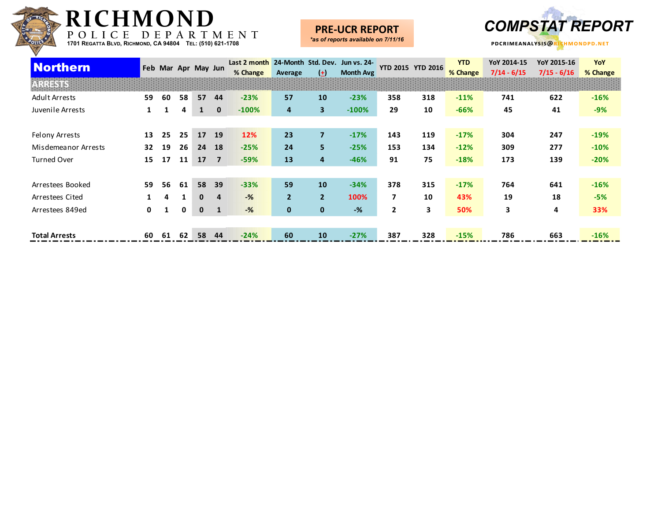

#### **PRE-UCR REPORT**



| <b>Northern</b>      |    |    |    | Feb Mar Apr May Jun |                | Last 2 month 24-Month Std. Dev. Jun vs. 24- |                |                |                  |     | YTD 2015 YTD 2016 | <b>YTD</b> | YoY 2014-15   | YoY 2015-16   | YoY      |
|----------------------|----|----|----|---------------------|----------------|---------------------------------------------|----------------|----------------|------------------|-----|-------------------|------------|---------------|---------------|----------|
|                      |    |    |    |                     |                | % Change                                    | Average        | $(\pm)$        | <b>Month Avg</b> |     |                   | % Change   | $7/14 - 6/15$ | $7/15 - 6/16$ | % Change |
|                      |    |    |    |                     |                |                                             |                |                |                  |     |                   |            |               |               |          |
| <b>Adult Arrests</b> | 59 | 60 | 58 | 57                  | 44             | $-23%$                                      | 57             | 10             | $-23%$           | 358 | 318               | $-11%$     | 741           | 622           | $-16%$   |
| Juvenile Arrests     | 1  | 1  | 4  | 1                   | $\mathbf{0}$   | $-100%$                                     | 4              | 3 <sup>1</sup> | $-100%$          | 29  | 10                | $-66%$     | 45            | 41            | $-9%$    |
|                      |    |    |    |                     |                |                                             |                |                |                  |     |                   |            |               |               |          |
| Felony Arrests       | 13 | 25 | 25 | 17                  | 19             | 12%                                         | 23             | $\overline{7}$ | $-17%$           | 143 | 119               | $-17%$     | 304           | 247           | $-19%$   |
| Misdemeanor Arrests  | 32 | 19 | 26 | 24                  | 18             | $-25%$                                      | 24             | 5              | $-25%$           | 153 | 134               | $-12%$     | 309           | 277           | $-10%$   |
| <b>Turned Over</b>   | 15 | 17 | 11 | 17                  | $\overline{7}$ | $-59%$                                      | 13             | 4              | $-46%$           | 91  | 75                | $-18%$     | 173           | 139           | $-20%$   |
|                      |    |    |    |                     |                |                                             |                |                |                  |     |                   |            |               |               |          |
| Arrestees Booked     | 59 | 56 | 61 | 58                  | 39             | $-33%$                                      | 59             | 10             | $-34%$           | 378 | 315               | $-17%$     | 764           | 641           | $-16%$   |
| Arrestees Cited      |    | 4  |    | $\bf{0}$            | 4              | $-%$                                        | $\overline{2}$ | $\overline{2}$ | 100%             | 7   | 10                | 43%        | 19            | 18            | $-5%$    |
| Arrestees 849ed      | 0  | 1  | 0  | $\mathbf 0$         | $\mathbf{1}$   | $-%$                                        | $\mathbf{0}$   | $\mathbf{0}$   | $-$ %            | 2   | 3                 | 50%        | 3             | 4             | 33%      |
|                      |    |    |    |                     |                |                                             |                |                |                  |     |                   |            |               |               |          |
| <b>Total Arrests</b> | 60 | 61 | 62 | 58                  | 44             | $-24%$                                      | 60             | 10             | $-27%$           | 387 | 328               | $-15%$     | 786           | 663           | $-16%$   |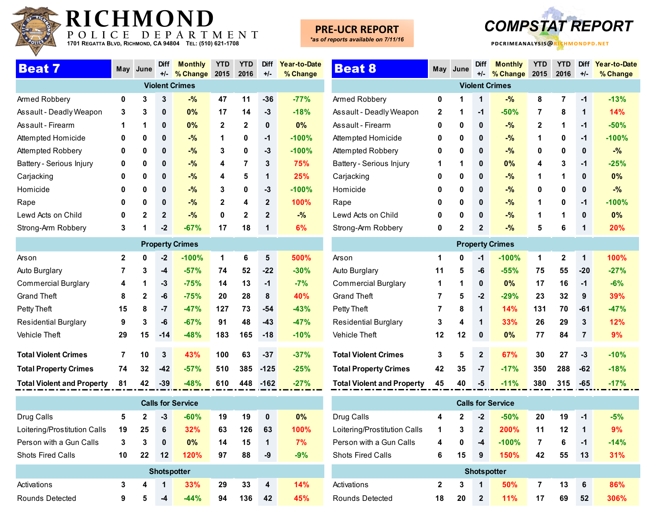

## **PRE-UCR REPORT**



| <b>Beat 7</b>            | May | June         | <b>Diff</b>  | <b>Monthly</b>        | <b>YTD</b>   | <b>YTD</b>   | <b>Diff</b>    | Year-to-Date |
|--------------------------|-----|--------------|--------------|-----------------------|--------------|--------------|----------------|--------------|
|                          |     |              | +/-          | % Change              | 2015         | 2016         | $+/-$          | % Change     |
|                          |     |              |              | <b>Violent Crimes</b> |              |              |                |              |
| Armed Robbery            | 0   | 3            | 3            | $-$ %                 | 47           | 11           | $-36$          | $-77%$       |
| Assault - Deadly Weapon  | 3   | 3            | 0            | 0%                    | 17           | 14           | -3             | $-18%$       |
| Assault - Firearm        | 1   | 1            | 0            | 0%                    | $\mathbf{2}$ | $\mathbf{2}$ | 0              | 0%           |
| Attempted Homicide       | 0   | 0            | 0            | $-$ %                 | 1            | 0            | $-1$           | $-100%$      |
| Attempted Robbery        | 0   | 0            | 0            | $-$ %                 | 3            | 0            | -3             | $-100%$      |
| Battery - Serious Injury | 0   | 0            | 0            | $-$ %                 | 4            | 7            | 3              | 75%          |
| Carjacking               | 0   | 0            | 0            | $-$ %                 | 4            | 5            | 1              | 25%          |
| Homicide                 | 0   | 0            | 0            | $-$ %                 | 3            | 0            | $-3$           | $-100%$      |
| Rape                     | 0   | 0            | 0            | $-$ %                 | $\mathbf{2}$ | 4            | $\overline{2}$ | 100%         |
| Lewd Acts on Child       | 0   | $\mathbf{2}$ | $\mathbf{2}$ | $-$ %                 | 0            | $\mathbf{2}$ | $\overline{2}$ | $-$ %        |
| Strong-Arm Robbery       | 3   | 1            | $-2$         | $-67%$                | 17           | 18           | 1              | 6%           |

| <b>Property Crimes</b>            |              |              |       |         |     |     |        |        |  |  |  |  |  |
|-----------------------------------|--------------|--------------|-------|---------|-----|-----|--------|--------|--|--|--|--|--|
| Arson                             | $\mathbf{2}$ | 0            | $-2$  | $-100%$ | 1   | 6   | 5      | 500%   |  |  |  |  |  |
| Auto Burglary                     | 7            | 3            | -4    | $-57%$  | 74  | 52  | $-22$  | $-30%$ |  |  |  |  |  |
| <b>Commercial Burglary</b>        | 4            | 1            | -3    | $-75%$  | 14  | 13  | $-1$   | $-7%$  |  |  |  |  |  |
| <b>Grand Theft</b>                | 8            | $\mathbf{2}$ | -6    | $-75%$  | 20  | 28  | 8      | 40%    |  |  |  |  |  |
| Petty Theft                       | 15           | 8            | $-7$  | $-47%$  | 127 | 73  | $-54$  | $-43%$ |  |  |  |  |  |
| <b>Residential Burglary</b>       | 9            | 3            | -6    | $-67%$  | 91  | 48  | $-43$  | $-47%$ |  |  |  |  |  |
| <b>Vehicle Theft</b>              | 29           | 15           | $-14$ | $-48%$  | 183 | 165 | $-18$  | $-10%$ |  |  |  |  |  |
|                                   |              |              |       |         |     |     |        |        |  |  |  |  |  |
| <b>Total Violent Crimes</b>       | 7            | 10           | 3     | 43%     | 100 | 63  | $-37$  | $-37%$ |  |  |  |  |  |
| <b>Total Property Crimes</b>      | 74           | 32           | $-42$ | $-57%$  | 510 | 385 | $-125$ | $-25%$ |  |  |  |  |  |
| <b>Total Violent and Property</b> | 81           | 42           | $-39$ | $-48%$  | 610 | 448 | $-162$ | $-27%$ |  |  |  |  |  |

| <b>Calls for Service</b>     |    |              |                    |        |    |     |    |       |  |  |  |  |  |
|------------------------------|----|--------------|--------------------|--------|----|-----|----|-------|--|--|--|--|--|
| Drug Calls                   | 5  | $\mathbf{2}$ | -3                 | $-60%$ | 19 | 19  | 0  | $0\%$ |  |  |  |  |  |
| Loitering/Prostitution Calls | 19 | 25           | 6                  | 32%    | 63 | 126 | 63 | 100%  |  |  |  |  |  |
| Person with a Gun Calls      | 3  | 3            | 0                  | $0\%$  | 14 | 15  | 1  | 7%    |  |  |  |  |  |
| <b>Shots Fired Calls</b>     | 10 | 22           | 12                 | 120%   | 97 | 88  | -9 | $-9%$ |  |  |  |  |  |
|                              |    |              | <b>Shotspotter</b> |        |    |     |    |       |  |  |  |  |  |
| Activations                  | 3  | 4            | $\mathbf 1$        | 33%    | 29 | 33  | 4  | 14%   |  |  |  |  |  |
| Rounds Detected              | 9  | 5            | -4                 | $-44%$ | 94 | 136 | 42 | 45%   |  |  |  |  |  |

| <b>Beat 8</b>               | May          | June         | Diff<br>$+/-$ | <b>Monthly</b><br>% Change | <b>YTD</b><br>2015 | <b>YTD</b><br>2016 | Diff<br>$+/-$ | Year-to-Date<br>% Change |  |  |  |
|-----------------------------|--------------|--------------|---------------|----------------------------|--------------------|--------------------|---------------|--------------------------|--|--|--|
| <b>Violent Crimes</b>       |              |              |               |                            |                    |                    |               |                          |  |  |  |
| Armed Robbery               | 0            | 1            | 1             | $-$ %                      | 8                  | $\overline{7}$     | $-1$          | $-13%$                   |  |  |  |
| Assault - Deadly Weapon     | $\mathbf{2}$ | 1            | $-1$          | $-50%$                     | 7                  | 8                  | 1             | 14%                      |  |  |  |
| Assault - Firearm           | 0            | 0            | $\mathbf 0$   | $-$ %                      | $\mathbf{2}$       | 1                  | $-1$          | $-50%$                   |  |  |  |
| Attempted Homicide          | 0            | 0            | $\mathbf 0$   | $-$ %                      | 1                  | 0                  | $-1$          | $-100%$                  |  |  |  |
| Attempted Robbery           | 0            | 0            | $\bf{0}$      | $-$ %                      | 0                  | 0                  | $\bf{0}$      | $-$ %                    |  |  |  |
| Battery - Serious Injury    | 1            | 1            | $\mathbf 0$   | $0\%$                      | 4                  | 3                  | $-1$          | $-25%$                   |  |  |  |
| Carjacking                  | 0            | 0            | $\mathbf{0}$  | $-$ %                      | 1                  | 1                  | $\bf{0}$      | 0%                       |  |  |  |
| Homicide                    | 0            | 0            | 0             | $-$ %                      | 0                  | 0                  | $\bf{0}$      | $-$ %                    |  |  |  |
| Rape                        | 0            | 0            | $\bf{0}$      | $-$ %                      | 1                  | 0                  | $-1$          | $-100%$                  |  |  |  |
| Lewd Acts on Child          | 0            | 0            | $\mathbf 0$   | $-$ %                      | 1                  | 1                  | $\bf{0}$      | 0%                       |  |  |  |
| Strong-Arm Robbery          | 0            | $\mathbf{2}$ | $\mathbf{2}$  | $-$ %                      | 5                  | 6                  | 1             | 20%                      |  |  |  |
|                             |              |              |               | <b>Property Crimes</b>     |                    |                    |               |                          |  |  |  |
| Arson                       | 1            | 0            | $-1$          | $-100%$                    | 1                  | $\overline{2}$     | 1             | 100%                     |  |  |  |
| Auto Burglary               | 11           | 5            | -6            | $-55%$                     | 75                 | 55                 | $-20$         | $-27%$                   |  |  |  |
| <b>Commercial Burglary</b>  | 1            | 1            | $\bf{0}$      | 0%                         | 17                 | 16                 | $-1$          | $-6%$                    |  |  |  |
| <b>Grand Theft</b>          | 7            | 5            | $-2$          | $-29%$                     | 23                 | 32                 | 9             | 39%                      |  |  |  |
| Petty Theft                 | 7            | 8            | 1             | 14%                        | 131                | 70                 | $-61$         | $-47%$                   |  |  |  |
| <b>Residential Burglary</b> | 3            | 4            | 1             | 33%                        | 26                 | 29                 | 3             | 12%                      |  |  |  |
| <b>Vehicle Theft</b>        | 12           | 12           | $\bf{0}$      | 0%                         | 77                 | 84                 | 7             | 9%                       |  |  |  |

| Vehicle Theft                     | 12 | $12 \quad 0$ |                  | $0\%$         | -77 | 84       |      | $9\%$  |
|-----------------------------------|----|--------------|------------------|---------------|-----|----------|------|--------|
| <b>Total Violent Crimes</b>       |    | $3 \quad 5$  | $\blacksquare$ 2 | $67\%$        | 30  | 27       | $-3$ | $-10%$ |
| <b>Total Property Crimes</b>      |    |              |                  | 42 35 -7 -17% | 350 | 288 - 62 |      | $-18%$ |
| <b>Total Violent and Property</b> | 45 | 40           |                  | $-5 - 11\%$   | 380 | 315      | -65  | $-17%$ |

| <b>Calls for Service</b>     |              |              |              |             |    |    |    |        |  |
|------------------------------|--------------|--------------|--------------|-------------|----|----|----|--------|--|
| Drug Calls                   | 4            | $\mathbf{2}$ | $-2$         | $-50%$      | 20 | 19 | -1 | $-5%$  |  |
| Loitering/Prostitution Calls | 1            | 3            | $\mathbf{2}$ | <b>200%</b> | 11 | 12 | 1  | 9%     |  |
| Person with a Gun Calls      | 4            | 0            | $-4$         | $-100%$     | 7  | 6  | -1 | $-14%$ |  |
| <b>Shots Fired Calls</b>     | 6            | 15           | 9            | 150%        | 42 | 55 | 13 | 31%    |  |
| <b>Shotspotter</b>           |              |              |              |             |    |    |    |        |  |
| Activations                  | $\mathbf{2}$ | 3            | 1            | 50%         | 7  | 13 | 6  | 86%    |  |
| Rounds Detected              | 18           | 20           | $\mathbf{2}$ | 11%         | 17 | 69 | 52 | 306%   |  |